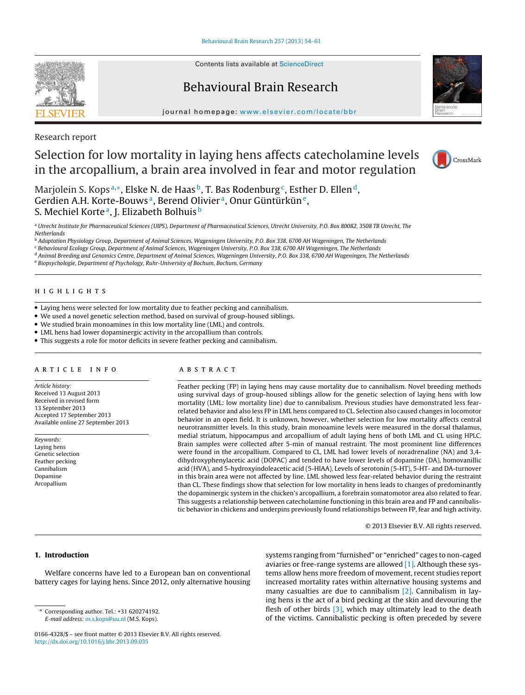Contents lists available at [ScienceDirect](http://www.sciencedirect.com/science/journal/01664328)

# Behavioural Brain Research

journal homepage: [www.elsevier.com/locate/bbr](http://www.elsevier.com/locate/bbr)



# Research report

# Selection for low mortality in laying hens affects catecholamine levels in the arcopallium, a brain area involved in fear and motor regulation



Marjolein S. Kops<sup>a,\*</sup>, Elske N. de Haas<sup>b</sup>, T. Bas Rodenburg<sup>c</sup>, Esther D. Ellen<sup>d</sup>, Gerdien A.H. Korte-Bouws<sup>a</sup>, Berend Olivier<sup>a</sup>, Onur Güntürkün<sup>e</sup>, S. Mechiel Korte<sup>a</sup>, J. Elizabeth Bolhuis<sup>b</sup>

a Utrecht Institute for Pharmaceutical Sciences (UIPS), Department of Pharmaceutical Sciences, Utrecht University, P.O. Box 80082, 3508 TB Utrecht, The Netherlands

<sup>b</sup> Adaptation Physiology Group, Department of Animal Sciences, Wageningen University, P.O. Box 338, 6700 AH Wageningen, The Netherlands

<sup>c</sup> Behavioural Ecology Group, Department of Animal Sciences, Wageningen University, P.O. Box 338, 6700 AH Wageningen, The Netherlands

<sup>d</sup> Animal Breeding and Genomics Centre, Department of Animal Sciences, Wageningen University, P.O. Box 338, 6700 AH Wageningen, The Netherlands

<sup>e</sup> Biopsychologie, Department of Psychology, Ruhr-University of Bochum, Bochum, Germany

- Laying hens were selected for low mortality due to feather pecking and cannibalism.
- We used a novel genetic selection method, based on survival of group-housed siblings.
- We studied brain monoamines in this low mortality line (LML) and controls.
- LML hens had lower dopaminergic activity in the arcopallium than controls.
- This suggests a role for motor deficits in severe feather pecking and cannibalism.

Article history: Received 13 August 2013 Received in revised form 13 September 2013 Accepted 17 September 2013 Available online 27 September 2013

Keywords: Laying hens Genetic selection Feather pecking Cannibalism Dopamine Arcopallium

# A B S T R A C T

Feather pecking (FP) in laying hens may cause mortality due to cannibalism. Novel breeding methods using survival days of group-housed siblings allow for the genetic selection of laying hens with low mortality (LML: low mortality line) due to cannibalism. Previous studies have demonstrated less fearrelated behavior and also less FP in LML hens compared to CL. Selection also caused changes in locomotor behavior in an open field. It is unknown, however, whether selection for low mortality affects central neurotransmitter levels. In this study, brain monoamine levels were measured in the dorsal thalamus, medial striatum, hippocampus and arcopallium of adult laying hens of both LML and CL using HPLC. Brain samples were collected after 5-min of manual restraint. The most prominent line differences were found in the arcopallium. Compared to CL, LML had lower levels of noradrenaline (NA) and 3,4 dihydroxyphenylacetic acid (DOPAC) and tended to have lower levels of dopamine (DA), homovanillic acid (HVA), and 5-hydroxyindoleacetic acid (5-HIAA). Levels of serotonin (5-HT), 5-HT- and DA-turnover in this brain area were not affected by line. LML showed less fear-related behavior during the restraint than CL. These findings show that selection for low mortality in hens leads to changes of predominantly the dopaminergic system in the chicken's arcopallium, a forebrain somatomotor area also related to fear. This suggests a relationship between catecholamine functioning in this brain area and FP and cannibalistic behavior in chickens and underpins previously found relationships between FP, fear and high activity.

© 2013 Elsevier B.V. All rights reserved.

# **1. Introduction**

Welfare concerns have led to a European ban on conventional battery cages for laying hens. Since 2012, only alternative housing systems ranging from "furnished" or "enriched" cages to non-caged aviaries or free-range systems are allowed [\[1\].](#page-5-0) Although these systems allow hens more freedom of movement, recent studies report increased mortality rates within alternative housing systems and many casualties are due to cannibalism [\[2\].](#page-5-0) Cannibalism in laying hens is the act of a bird pecking at the skin and devouring the flesh of other birds  $[3]$ , which may ultimately lead to the death of the victims. Cannibalistic pecking is often preceded by severe

<sup>∗</sup> Corresponding author. Tel.: +31 620274192. E-mail address: [m.s.kops@uu.nl](mailto:m.s.kops@uu.nl) (M.S. Kops).

<sup>0166-4328/\$</sup> – see front matter © 2013 Elsevier B.V. All rights reserved. [http://dx.doi.org/10.1016/j.bbr.2013.09.035](dx.doi.org/10.1016/j.bbr.2013.09.035)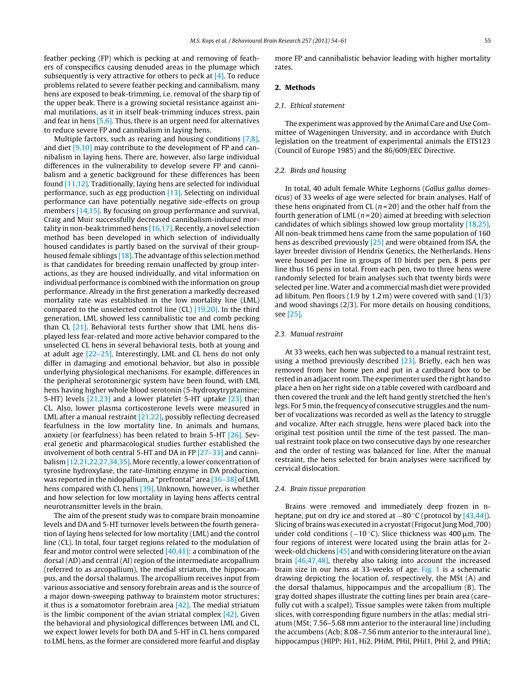feather pecking (FP) which is pecking at and removing of feathers of conspecifics causing denuded areas in the plumage which subsequently is very attractive for others to peck at  $[4]$ . To reduce problems related to severe feather pecking and cannibalism, many hens are exposed to beak-trimming, i.e. removal of the sharp tip of the upper beak. There is a growing societal resistance against animal mutilations, as it in itself beak-trimming induces stress, pain and fear in hens [\[5,6\].](#page-5-0) Thus, there is an urgent need for alternatives to reduce severe FP and cannibalism in laying hens.

Multiple factors, such as rearing and housing conditions [\[7,8\],](#page-5-0) and diet [\[9,10\]](#page-5-0) may contribute to the development of FP and cannibalism in laying hens. There are, however, also large individual differences in the vulnerability to develop severe FP and cannibalism and a genetic background for these differences has been found [\[11,12\].](#page-5-0) Traditionally, laying hens are selected for individual performance, such as egg production [\[13\].](#page-5-0) Selecting on individual performance can have potentially negative side-effects on group members [\[14,15\].](#page-5-0) By focusing on group performance and survival, Craig and Muir successfully decreased cannibalism-induced mortality in non-beak trimmed hens  $[16,17]$ . Recently, a novel selection method has been developed in which selection of individually housed candidates is partly based on the survival of their group-housed female siblings [\[18\].](#page-5-0) The advantage of this selection method is that candidates for breeding remain unaffected by group interactions, as they are housed individually, and vital information on individual performance is combined with the information on group performance. Already in the first generation a markedly decreased mortality rate was established in the low mortality line (LML) compared to the unselected control line (CL) [\[19,20\].](#page-5-0) In the third generation, LML showed less cannibalistic toe and comb pecking than CL [\[21\].](#page-5-0) Behavioral tests further show that LML hens displayed less fear-related and more active behavior compared to the unselected CL hens in several behavioral tests, both at young and at adult age [\[22–25\].](#page-5-0) Interestingly, LML and CL hens do not only differ in damaging and emotional behavior, but also in possible underlying physiological mechanisms. For example, differences in the peripheral serotoninergic system have been found, with LML hens having higher whole blood serotonin (5-hydroxytryptamine; 5-HT) levels [\[21,23\]](#page-5-0) and a lower platelet 5-HT uptake [\[23\]](#page-6-0) than CL. Also, lower plasma corticosterone levels were measured in LML after a manual restraint [\[21,22\],](#page-5-0) possibly reflecting decreased fearfulness in the low mortality line. In animals and humans, anxiety (or fearfulness) has been related to brain 5-HT [\[26\].](#page-6-0) Several genetic and pharmacological studies further established the involvement of both central 5-HT and DA in FP [\[27–33\]](#page-6-0) and cannibalism [\[12,21,22,27,34,35\].](#page-5-0) More recently, a lower concentration of tyrosine hydroxylase, the rate-limiting enzyme in DA production, was reported in the nidopallium, a "prefrontal" area [\[36–38\]](#page-6-0) of LML hens compared with CL hens [\[39\].](#page-6-0) Unknown, however, is whether and how selection for low mortality in laying hens affects central neurotransmitter levels in the brain.

The aim of the present study was to compare brain monoamine levels and DA and 5-HT turnover levels between the fourth generation of laying hens selected for low mortality (LML) and the control line (CL). In total, four target regions related to the modulation of fear and motor control were selected  $[40,41]$ : a combination of the dorsal (AD) and central (AI) region of the intermediate arcopallium (referred to as arcopallium), the medial striatum, the hippocampus, and the dorsal thalamus. The arcopallium receives input from various associative and sensory forebrain areas and is the source of a major down-sweeping pathway to brainstem motor structures; it thus is a somatomotor forebrain area  $[42]$ . The medial striatum is the limbic component of the avian striatal complex  $[42]$ . Given the behavioral and physiological differences between LML and CL, we expect lower levels for both DA and 5-HT in CL hens compared to LML hens, as the former are considered more fearful and display

more FP and cannibalistic behavior leading with higher mortality rates.

## **2. Methods**

#### 2.1. Ethical statement

The experiment was approved by the Animal Care and Use Committee of Wageningen University, and in accordance with Dutch legislation on the treatment of experimental animals the ETS123 (Council of Europe 1985) and the 86/609/EEC Directive.

#### 2.2. Birds and housing

In total, 40 adult female White Leghorns (Gallus gallus domesticus) of 33 weeks of age were selected for brain analyses. Half of these hens originated from CL  $(n=20)$  and the other half from the fourth generation of LML ( $n = 20$ ) aimed at breeding with selection candidates of which siblings showed low group mortality [\[18,25\].](#page-5-0) All non-beak trimmed hens came from the same population of 160 hens as described previously [\[25\]](#page-6-0) and were obtained from ISA, the layer breeder division of Hendrix Genetics, the Netherlands. Hens were housed per line in groups of 10 birds per pen, 8 pens per line thus 16 pens in total. From each pen, two to three hens were randomly selected for brain analyses such that twenty birds were selected per line. Water and a commercial mash diet were provided ad libitum. Pen floors (1.9 by 1.2 m) were covered with sand (1/3) and wood shavings (2/3). For more details on housing conditions, see [\[25\].](#page-6-0)

#### 2.3. Manual restraint

At 33 weeks, each hen was subjected to a manual restraint test, using a method previously described [\[23\].](#page-6-0) Briefly, each hen was removed from her home pen and put in a cardboard box to be tested in an adjacent room. The experimenter used the right hand to place a hen on her right side on a table covered with cardboard and then covered the trunk and the left hand gently stretched the hen's legs. For 5 min, the frequency of consecutive struggles and the number of vocalizations was recorded as well as the latency to struggle and vocalize. After each struggle, hens were placed back into the original test position until the time of the test passed. The manual restraint took place on two consecutive days by one researcher and the order of testing was balanced for line. After the manual restraint, the hens selected for brain analyses were sacrificed by cervical dislocation.

#### 2.4. Brain tissue preparation

Brains were removed and immediately deep frozen in nheptane, put on dry ice and stored at  $-80$  °C (protocol by [\[43,44\]\).](#page-6-0) Slicing of brains was executed in a cryostat (Frigocut Jung Mod\_700) under cold conditions ( $-10$  °C). Slice thickness was 400  $\mu$ m. The four regions of interest were located using the brain atlas for 2 week-old chickens [\[45\]](#page-6-0) and with considering literature on the avian brain [\[46,47,48\],](#page-6-0) thereby also taking into account the increased brain size in our hens at 33-weeks of age. [Fig.](#page-2-0) 1 is a schematic drawing depicting the location of, respectively, the MSt (A) and the dorsal thalamus, hippocampus and the arcopallium (B). The gray dotted shapes illustrate the cutting lines per brain area (carefully cut with a scalpel). Tissue samples were taken from multiple slices, with corresponding figure numbers in the atlas: medial striatum (MSt; 7.56–5.68 mm anterior to the interaural line) including the accumbens (Acb; 8.08–7.56 mm anterior to the interaural line), hippocampus (HIPP; Hi1, Hi2, PHiM, PHil, PHi11, PHil 2, and PHiA;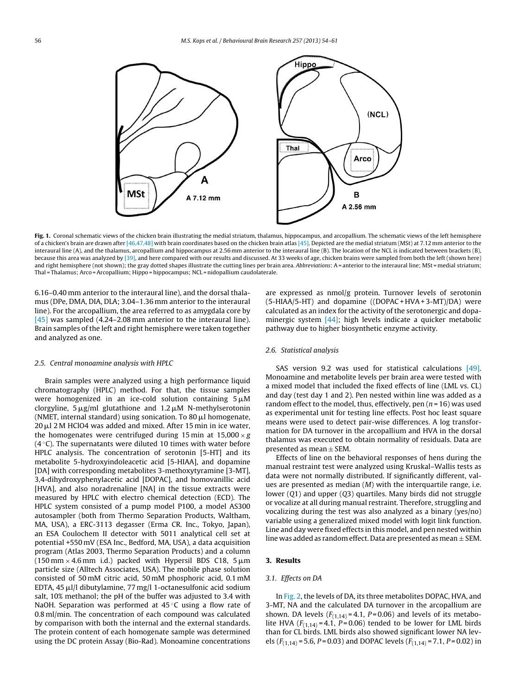<span id="page-2-0"></span>

**Fig. 1.** Coronal schematic views of the chicken brain illustrating the medial striatum, thalamus, hippocampus, and arcopallium. The schematic views of the left hemisphere of a chicken's brain are drawn after [\[46,47,48\]](#page-6-0) with brain coordinates based on the chicken brain atlas [\[45\].](#page-6-0) Depicted are the medial striatum (MSt) at 7.12 mm anterior to the interaural line (A), and the thalamus, arcopallium and hippocampus at 2.56 mm anterior to the interaural line (B). The location of the NCL is indicated between brackets (B), because this area was analyzed by [\[39\],](#page-6-0) and here compared with our results and discussed. At 33 weeks of age, chicken brains were sampled from both the left (shown here) and right hemisphere (not shown); the gray dotted shapes illustrate the cutting lines per brain area. Abbreviations: A= anterior to the interaural line; MSt = medial striatum; Thal = Thalamus; Arco =Arcopallium; Hippo = hippocampus; NCL = nidopallium caudolaterale.

6.16–0.40 mm anterior to the interaural line), and the dorsal thalamus (DPe, DMA, DIA, DLA; 3.04–1.36 mm anterior to the interaural line). For the arcopallium, the area referred to as amygdala core by [\[45\]](#page-6-0) was sampled (4.24–2.08 mm anterior to the interaural line). Brain samples of the left and right hemisphere were taken together and analyzed as one.

#### 2.5. Central monoamine analysis with HPLC

Brain samples were analyzed using a high performance liquid chromatography (HPLC) method. For that, the tissue samples were homogenized in an ice-cold solution containing  $5\,\rm \mu M$ clorgyline, 5  $\mu$ g/ml glutathione and 1.2  $\mu$ M N-methylserotonin (NMET, internal standard) using sonication. To 80  $\mu$ l homogenate, 20 µl 2 M HClO4 was added and mixed. After 15 min in ice water, the homogenates were centrifuged during 15 min at  $15,000 \times g$  $(4°C)$ . The supernatants were diluted 10 times with water before HPLC analysis. The concentration of serotonin [5-HT] and its metabolite 5-hydroxyindoleacetic acid [5-HIAA], and dopamine [DA] with corresponding metabolites 3-methoxytyramine [3-MT], 3,4-dihydroxyphenylacetic acid [DOPAC], and homovanillic acid [HVA], and also noradrenaline [NA] in the tissue extracts were measured by HPLC with electro chemical detection (ECD). The HPLC system consisted of a pump model P100, a model AS300 autosampler (both from Thermo Separation Products, Waltham, MA, USA), a ERC-3113 degasser (Erma CR. Inc., Tokyo, Japan), an ESA Coulochem II detector with 5011 analytical cell set at potential +550 mV (ESA Inc., Bedford, MA, USA), a data acquisition program (Atlas 2003, Thermo Separation Products) and a column  $(150\,\mathrm{mm}\times4.6\,\mathrm{mm}$  i.d.) packed with Hypersil BDS C18,  $5\,\mathrm{\mu m}$ particle size (Alltech Associates, USA). The mobile phase solution consisted of 50 mM citric acid, 50 mM phosphoric acid, 0.1 mM EDTA, 45 µl/l dibutylamine, 77 mg/l 1-octanesulfonic acid sodium salt, 10% methanol; the pH of the buffer was adjusted to 3.4 with NaOH. Separation was performed at 45 ℃ using a flow rate of 0.8 ml/min. The concentration of each compound was calculated by comparison with both the internal and the external standards. The protein content of each homogenate sample was determined using the DC protein Assay (Bio-Rad). Monoamine concentrations

are expressed as nmol/g protein. Turnover levels of serotonin (5-HIAA/5-HT) and dopamine ((DOPAC + HVA+ 3-MT)/DA) were calculated as an index for the activity of the serotonergic and dopa-minergic system [\[44\];](#page-6-0) high levels indicate a quicker metabolic pathway due to higher biosynthetic enzyme activity.

#### 2.6. Statistical analysis

SAS version 9.2 was used for statistical calculations [\[49\].](#page-6-0) Monoamine and metabolite levels per brain area were tested with a mixed model that included the fixed effects of line (LML vs. CL) and day (test day 1 and 2). Pen nested within line was added as a random effect to the model, thus, effectively, pen  $(n = 16)$  was used as experimental unit for testing line effects. Post hoc least square means were used to detect pair-wise differences. A log transformation for DA turnover in the arcopallium and HVA in the dorsal thalamus was executed to obtain normality of residuals. Data are presented as mean  $\pm$  SEM.

Effects of line on the behavioral responses of hens during the manual restraint test were analyzed using Kruskal–Wallis tests as data were not normally distributed. If significantly different, values are presented as median  $(M)$  with the interquartile range, i.e. lower (Q1) and upper (Q3) quartiles. Many birds did not struggle or vocalize at all during manual restraint. Therefore, struggling and vocalizing during the test was also analyzed as a binary (yes/no) variable using a generalized mixed model with logit link function. Line and day were fixed effects in this model, and pen nested within line was added as random effect. Data are presented as mean  $\pm$  SEM.

#### **3. Results**

### 3.1. Effects on DA

In [Fig.](#page-3-0) 2, the levels of DA, its three metabolites DOPAC, HVA, and 3-MT, NA and the calculated DA turnover in the arcopallium are shown. DA levels  $(F_{(1,14)} = 4.1, P = 0.06)$  and levels of its metabolite HVA  $(F_{(1,14)} = 4.1, P = 0.06)$  tended to be lower for LML birds than for CL birds. LML birds also showed significant lower NA levels ( $F_{(1,14)}$  = 5.6, P = 0.03) and DOPAC levels ( $F_{(1,14)}$  = 7.1, P = 0.02) in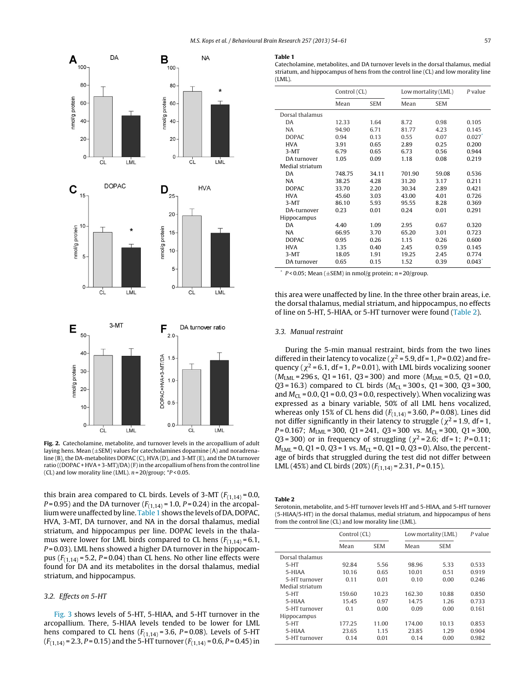<span id="page-3-0"></span>

**Fig. 2.** Catecholamine, metabolite, and turnover levels in the arcopallium of adult laying hens. Mean  $(\pm$ SEM) values for catecholamines dopamine (A) and noradrenaline (B), the DA-metabolites DOPAC (C), HVA (D), and 3-MT (E), and the DA turnover ratio ((DOPAC + HVA + 3-MT)/DA)(F) in the arcopallium of hens from the control line (CL) and low morality line (LML).  $n = 20/\text{group}$ ;  $*P < 0.05$ .

this brain area compared to CL birds. Levels of 3-MT  $(F_{(1,14)} = 0.0,$ *P*=0.95) and the DA turnover ( $F_{(1,14)}$  = 1.0, *P*=0.24) in the arcopallium were unaffected by line. Table 1 shows the levels of DA, DOPAC, HVA, 3-MT, DA turnover, and NA in the dorsal thalamus, medial striatum, and hippocampus per line. DOPAC levels in the thalamus were lower for LML birds compared to CL hens  $(F_{(1,14)} = 6.1,$  $P = 0.03$ ). LML hens showed a higher DA turnover in the hippocampus  $(F_{(1,14)} = 5.2, P = 0.04)$  than CL hens. No other line effects were found for DA and its metabolites in the dorsal thalamus, medial striatum, and hippocampus.

#### 3.2. Effects on 5-HT

[Fig.](#page-4-0) 3 shows levels of 5-HT, 5-HIAA, and 5-HT turnover in the arcopallium. There, 5-HIAA levels tended to be lower for LML hens compared to CL hens  $(F_{(1,14)} = 3.6, P = 0.08)$ . Levels of 5-HT  $(F_{(1,14)} = 2.3, P = 0.15)$  and the 5-HT turnover  $(F_{(1,14)} = 0.6, P = 0.45)$  in

#### **Table 1**

Catecholamine, metabolites, and DA turnover levels in the dorsal thalamus, medial striatum, and hippocampus of hens from the control line (CL) and low morality line  $(LML)$ 

|                    | Control (CL) |            | Low mortality (LML) |            | P value |
|--------------------|--------------|------------|---------------------|------------|---------|
|                    | Mean         | <b>SEM</b> | Mean                | <b>SEM</b> |         |
| Dorsal thalamus    |              |            |                     |            |         |
| DA                 | 12.33        | 1.64       | 8.72                | 0.98       | 0.105   |
| <b>NA</b>          | 94.90        | 6.71       | 81.77               | 4.23       | 0.145   |
| <b>DOPAC</b>       | 0.94         | 0.13       | 0.55                | 0.07       | 0.027   |
| <b>HVA</b>         | 3.91         | 0.65       | 2.89                | 0.25       | 0.200   |
| $3-MT$             | 6.79         | 0.65       | 6.73                | 0.56       | 0.944   |
| DA turnover        | 1.05         | 0.09       | 1.18                | 0.08       | 0.219   |
| Medial striatum    |              |            |                     |            |         |
| DA                 | 748.75       | 34.11      | 701.90              | 59.08      | 0.536   |
| <b>NA</b>          | 38.25        | 4.28       | 31.20               | 3.17       | 0.211   |
| <b>DOPAC</b>       | 33.70        | 2.20       | 30.34               | 2.89       | 0.421   |
| <b>HVA</b>         | 45.60        | 3.03       | 43.00               | 4.01       | 0.726   |
| $3-MT$             | 86.10        | 5.93       | 95.55               | 8.28       | 0.369   |
| DA-turnover        | 0.23         | 0.01       | 0.24                | 0.01       | 0.291   |
| <b>Hippocampus</b> |              |            |                     |            |         |
| DA                 | 4.40         | 1.09       | 2.95                | 0.67       | 0.320   |
| <b>NA</b>          | 66.95        | 3.70       | 65.20               | 3.01       | 0.723   |
| <b>DOPAC</b>       | 0.95         | 0.26       | 1.15                | 0.26       | 0.600   |
| <b>HVA</b>         | 1.35         | 0.40       | 2.45                | 0.59       | 0.145   |
| $3-MT$             | 18.05        | 1.91       | 19.25               | 2.45       | 0.774   |
| DA turnover        | 0.65         | 0.15       | 1.52                | 0.39       | 0.043   |

 $P < 0.05$ ; Mean ( $\pm$ SEM) in nmol/g protein; n = 20/group.

this area were unaffected by line. In the three other brain areas, i.e. the dorsal thalamus, medial striatum, and hippocampus, no effects of line on 5-HT, 5-HIAA, or 5-HT turnover were found (Table 2).

### 3.3. Manual restraint

During the 5-min manual restraint, birds from the two lines differed in their latency to vocalize ( $\chi^2$  = 5.9, df = 1, P = 0.02) and frequency ( $\chi^2$  = 6.1, df = 1, P = 0.01), with LML birds vocalizing sooner  $(M_{LML} = 296 \text{ s}, Q1 = 161, Q3 = 300)$  and more  $(M_{LML} = 0.5, Q1 = 0.0,$  $Q3 = 16.3$ ) compared to CL birds ( $M_{Cl} = 300$  s,  $Q1 = 300$ ,  $Q3 = 300$ , and  $M_{\text{Cl}}$  = 0.0, Q1 = 0.0, Q3 = 0.0, respectively). When vocalizing was expressed as a binary variable, 50% of all LML hens vocalized, whereas only 15% of CL hens did  $(F_{(1,14)} = 3.60, P = 0.08)$ . Lines did not differ significantly in their latency to struggle ( $\chi^2$  = 1.9, df = 1,  $P = 0.167$ ;  $M_{LML} = 300$ ,  $Q1 = 241$ ,  $Q3 = 300$  vs.  $M_{CL} = 300$ ,  $Q1 = 300$ , Q3 = 300) or in frequency of struggling ( $\chi^2$  = 2.6; df = 1; P = 0.11;  $M_{LML} = 0$ ,  $Q1 = 0$ ,  $Q3 = 1$  vs.  $M_{CL} = 0$ ,  $Q1 = 0$ ,  $Q3 = 0$ ). Also, the percentage of birds that struggled during the test did not differ between LML (45%) and CL birds (20%)  $(F_{(1,14)} = 2.31, P = 0.15)$ .

**Table 2**

Serotonin, metabolite, and 5-HT turnover levels HT and 5-HIAA, and 5-HT turnover (5-HIAA/5-HT) in the dorsal thalamus, medial striatum, and hippocampus of hens from the control line (CL) and low morality line (LML).

| Control (CL) |            | Low mortality (LML) |            | P value |
|--------------|------------|---------------------|------------|---------|
| Mean         | <b>SEM</b> | Mean                | <b>SEM</b> |         |
|              |            |                     |            |         |
| 92.84        | 5.56       | 98.96               | 5.33       | 0.533   |
| 10.16        | 0.65       | 10.01               | 0.51       | 0.919   |
| 0.11         | 0.01       | 0.10                | 0.00       | 0.246   |
|              |            |                     |            |         |
| 159.60       | 10.23      | 162.30              | 10.88      | 0.850   |
| 15.45        | 0.97       | 14.75               | 1.26       | 0.733   |
| 0.1          | 0.00       | 0.09                | 0.00       | 0.161   |
|              |            |                     |            |         |
| 177.25       | 11.00      | 174.00              | 10.13      | 0.853   |
| 23.65        | 1.15       | 23.85               | 1.29       | 0.904   |
| 0.14         | 0.01       | 0.14                | 0.00       | 0.982   |
|              |            |                     |            |         |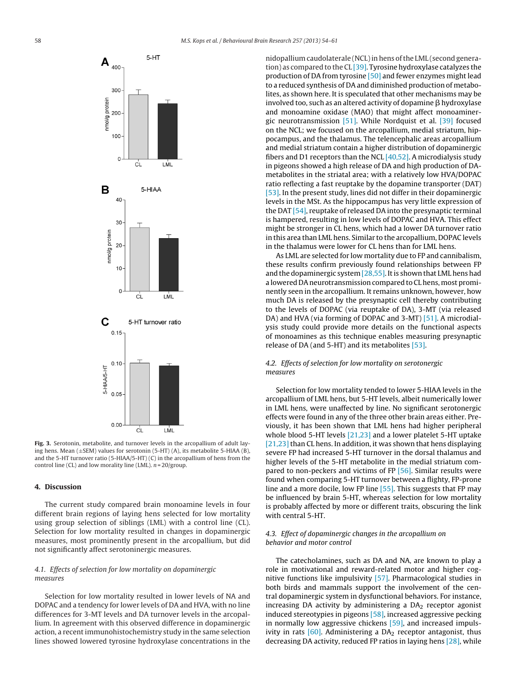<span id="page-4-0"></span>

nidopallium caudolaterale (NCL) in hens of the LML (second generation) as compared to the CL  $[39]$ . Tyrosine hydroxylase catalyzes the production of DA from tyrosine [\[50\]](#page-6-0) and fewer enzymes might lead to a reduced synthesis of DA and diminished production of metabolites, as shown here. It is speculated that other mechanisms may be involved too, such as an altered activity of dopamine  $\beta$  hydroxylase and monoamine oxidase (MAO) that might affect monoaminergic neurotransmission [\[51\].](#page-6-0) While Nordquist et al. [\[39\]](#page-6-0) focused on the NCL; we focused on the arcopallium, medial striatum, hippocampus, and the thalamus. The telencephalic areas arcopallium and medial striatum contain a higher distribution of dopaminergic fibers and D1 receptors than the NCL  $[40,52]$ . A microdialysis study in pigeons showed a high release of DA and high production of DAmetabolites in the striatal area; with a relatively low HVA/DOPAC ratio reflecting a fast reuptake by the dopamine transporter (DAT) [\[53\].](#page-6-0) In the present study, lines did not differ in their dopaminergic levels in the MSt. As the hippocampus has very little expression of the DAT [\[54\],](#page-6-0) reuptake of released DA into the presynaptic terminal is hampered, resulting in low levels of DOPAC and HVA. This effect might be stronger in CL hens, which had a lower DA turnover ratio in this area than LML hens. Similar to the arcopallium, DOPAC levels in the thalamus were lower for CL hens than for LML hens.

As LML are selected for low mortality due to FP and cannibalism, these results confirm previously found relationships between FP and the dopaminergic system  $[28,55]$ . It is shown that LML hens had a lowered DA neurotransmission compared to CL hens, most prominently seen in the arcopallium. It remains unknown, however, how much DA is released by the presynaptic cell thereby contributing to the levels of DOPAC (via reuptake of DA), 3-MT (via released DA) and HVA (via forming of DOPAC and 3-MT) [\[51\].](#page-6-0) A microdialysis study could provide more details on the functional aspects of monoamines as this technique enables measuring presynaptic release of DA (and 5-HT) and its metabolites [\[53\].](#page-6-0)

### 4.2. Effects of selection for low mortality on serotonergic measures

Selection for low mortality tended to lower 5-HIAA levels in the arcopallium of LML hens, but 5-HT levels, albeit numerically lower in LML hens, were unaffected by line. No significant serotonergic effects were found in any of the three other brain areas either. Previously, it has been shown that LML hens had higher peripheral whole blood 5-HT levels  $[21,23]$  and a lower platelet 5-HT uptake [\[21,23\]](#page-5-0) than CL hens. In addition, it was shown that hens displaying severe FP had increased 5-HT turnover in the dorsal thalamus and higher levels of the 5-HT metabolite in the medial striatum com-pared to non-peckers and victims of FP [\[56\].](#page-6-0) Similar results were found when comparing 5-HT turnover between a flighty, FP-prone line and a more docile, low FP line [\[55\].](#page-6-0) This suggests that FP may be influenced by brain 5-HT, whereas selection for low mortality is probably affected by more or different traits, obscuring the link with central 5-HT.

## 4.3. Effect of dopaminergic changes in the arcopallium on behavior and motor control

The catecholamines, such as DA and NA, are known to play a role in motivational and reward-related motor and higher cognitive functions like impulsivity [\[57\].](#page-6-0) Pharmacological studies in both birds and mammals support the involvement of the central dopaminergic system in dysfunctional behaviors. For instance, increasing DA activity by administering a  $DA<sub>2</sub>$  receptor agonist induced stereotypies in pigeons [\[58\],](#page-6-0) increased aggressive pecking in normally low aggressive chickens [\[59\],](#page-6-0) and increased impulsivity in rats  $[60]$ . Administering a DA<sub>2</sub> receptor antagonist, thus decreasing DA activity, reduced FP ratios in laying hens [\[28\],](#page-6-0) while



 $5-HT$ 

**Fig. 3.** Serotonin, metabolite, and turnover levels in the arcopallium of adult laying hens. Mean  $(\pm$ SEM) values for serotonin (5-HT) (A), its metabolite 5-HIAA (B), and the 5-HT turnover ratio (5-HIAA/5-HT) (C) in the arcopallium of hens from the control line (CL) and low morality line (LML).  $n = 20$ /group.

## **4. Discussion**

The current study compared brain monoamine levels in four different brain regions of laying hens selected for low mortality using group selection of siblings (LML) with a control line (CL). Selection for low mortality resulted in changes in dopaminergic measures, most prominently present in the arcopallium, but did not significantly affect serotoninergic measures.

# 4.1. Effects of selection for low mortality on dopaminergic measures

Selection for low mortality resulted in lower levels of NA and DOPAC and a tendency for lower levels of DA and HVA, with no line differences for 3-MT levels and DA turnover levels in the arcopallium. In agreement with this observed difference in dopaminergic action, a recent immunohistochemistry study in the same selection lines showed lowered tyrosine hydroxylase concentrations in the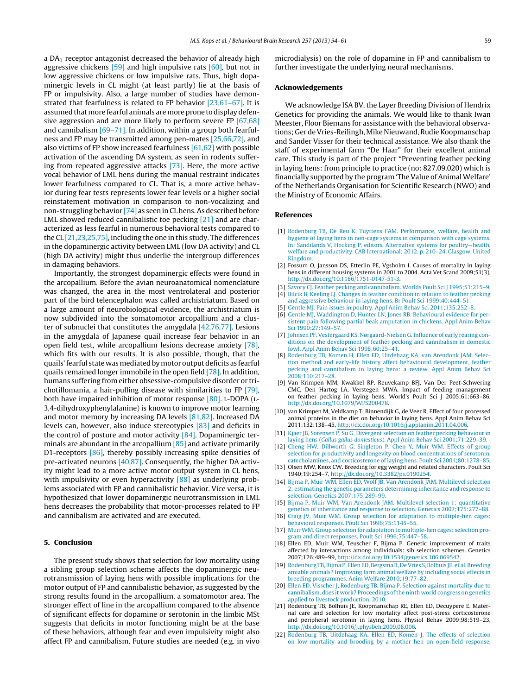<span id="page-5-0"></span>a  $DA<sub>1</sub>$  receptor antagonist decreased the behavior of already high aggressive chickens  $[59]$  and high impulsive rats  $[60]$ , but not in low aggressive chickens or low impulsive rats. Thus, high dopaminergic levels in CL might (at least partly) lie at the basis of FP or impulsivity. Also, a large number of studies have demonstrated that fearfulness is related to FP behavior [\[23,61–67\].](#page-6-0) It is assumed that more fearful animals are more prone to display defen-sive aggression and are more likely to perform severe FP [\[67,68\]](#page-6-0) and cannibalism [\[69–71\].](#page-6-0) In addition, within a group both fearfulness and FP may be transmitted among pen-mates [\[25,66,72\],](#page-6-0) and also victims of FP show increased fearfulness [\[61,62\]](#page-6-0) with possible activation of the ascending DA system, as seen in rodents suffering from repeated aggressive attacks [\[73\].](#page-7-0) Here, the more active vocal behavior of LML hens during the manual restraint indicates lower fearfulness compared to CL. That is, a more active behavior during fear tests represents lower fear levels or a higher social reinstatement motivation in comparison to non-vocalizing and non-struggling behavior [\[74\]](#page-7-0) as seen in CL hens. As described before LML showed reduced cannibalistic toe pecking [21] and are characterized as less fearful in numerous behavioral tests compared to the CL [21,23,25,75], including the one in this study. The differences in the dopaminergic activity between LML (low DA activity) and CL (high DA activity) might thus underlie the intergroup differences in damaging behaviors.

Importantly, the strongest dopaminergic effects were found in the arcopallium. Before the avian neuroanatomical nomenclature was changed, the area in the most ventrolateral and posterior part of the bird telencephalon was called archistriatum. Based on a large amount of neurobiological evidence, the archistriatum is now subdivided into the somatomotor arcopallium and a cluster of subnuclei that constitutes the amygdala [\[42,76,77\].](#page-6-0) Lesions in the amygdala of Japanese quail increase fear behavior in an open field test, while arcopallium lesions decrease anxiety [\[78\],](#page-7-0) which fits with our results. It is also possible, though, that the quails'fearful state wasmediated bymotor output deficits as fearful quails remained longer immobile in the open field [\[78\].](#page-7-0) In addition, humans suffering from either obsessive-compulsive disorder or trichotillomania, a hair-pulling disease with similarities to FP [\[79\],](#page-7-0) both have impaired inhibition of motor response [\[80\].](#page-7-0) L-DOPA (L-3,4-dihydroxyphenylalanine) is known to improve motor learning and motor memory by increasing DA levels [\[81,82\].](#page-7-0) Increased DA levels can, however, also induce stereotypies [\[83\]](#page-7-0) and deficits in the control of posture and motor activity  $[84]$ . Dopaminergic terminals are abundant in the arcopallium [\[85\]](#page-7-0) and activate primarily D1-receptors [\[86\],](#page-7-0) thereby possibly increasing spike densities of pre-activated neurons [\[40,87\].](#page-6-0) Consequently, the higher DA activity might lead to a more active motor output system in CL hens, with impulsivity or even hyperactivity [\[88\]](#page-7-0) as underlying problems associated with FP and cannibalistic behavior. Vice versa, it is hypothesized that lower dopaminergic neurotransmission in LML hens decreases the probability that motor-processes related to FP and cannibalism are activated and are executed.

### **5. Conclusion**

The present study shows that selection for low mortality using a sibling group selection scheme affects the dopaminergic neurotransmission of laying hens with possible implications for the motor output of FP and cannibalistic behavior, as suggested by the strong results found in the arcopallium, a somatomotor area. The stronger effect of line in the arcopallium compared to the absence of significant effects for dopamine or serotonin in the limbic MSt suggests that deficits in motor functioning might be at the base of these behaviors, although fear and even impulsivity might also affect FP and cannibalism. Future studies are needed (e.g. in vivo

microdialysis) on the role of dopamine in FP and cannibalism to further investigate the underlying neural mechanisms.

#### **Acknowledgements**

We acknowledge ISA BV, the Layer Breeding Division of Hendrix Genetics for providing the animals. We would like to thank Iwan Meester, Floor Biemans for assistance with the behavioral observations; Ger de Vries-Reilingh, Mike Nieuwand, Rudie Koopmanschap and Sander Visser for their technical assistance. We also thank the staff of experimental farm "De Haar" for their excellent animal care. This study is part of the project "Preventing feather pecking in laying hens: from principle to practice (no: 827.09.020) which is financially supported by the program 'The Value of Animal Welfare' of the Netherlands Organisation for Scientific Research (NWO) and the Ministry of Economic Affairs.

#### **References**

- [1] [Rodenburg](http://refhub.elsevier.com/S0166-4328(13)00585-8/sbref0005) [TB,](http://refhub.elsevier.com/S0166-4328(13)00585-8/sbref0005) [De](http://refhub.elsevier.com/S0166-4328(13)00585-8/sbref0005) [Reu](http://refhub.elsevier.com/S0166-4328(13)00585-8/sbref0005) [K,](http://refhub.elsevier.com/S0166-4328(13)00585-8/sbref0005) [Tuyttens](http://refhub.elsevier.com/S0166-4328(13)00585-8/sbref0005) [FAM.](http://refhub.elsevier.com/S0166-4328(13)00585-8/sbref0005) [Performance,](http://refhub.elsevier.com/S0166-4328(13)00585-8/sbref0005) [welfare,](http://refhub.elsevier.com/S0166-4328(13)00585-8/sbref0005) [health](http://refhub.elsevier.com/S0166-4328(13)00585-8/sbref0005) [and](http://refhub.elsevier.com/S0166-4328(13)00585-8/sbref0005) [hygiene](http://refhub.elsevier.com/S0166-4328(13)00585-8/sbref0005) [of](http://refhub.elsevier.com/S0166-4328(13)00585-8/sbref0005) [laying](http://refhub.elsevier.com/S0166-4328(13)00585-8/sbref0005) [hens](http://refhub.elsevier.com/S0166-4328(13)00585-8/sbref0005) [in](http://refhub.elsevier.com/S0166-4328(13)00585-8/sbref0005) [non-cage](http://refhub.elsevier.com/S0166-4328(13)00585-8/sbref0005) [systems](http://refhub.elsevier.com/S0166-4328(13)00585-8/sbref0005) [in](http://refhub.elsevier.com/S0166-4328(13)00585-8/sbref0005) [comparison](http://refhub.elsevier.com/S0166-4328(13)00585-8/sbref0005) [with](http://refhub.elsevier.com/S0166-4328(13)00585-8/sbref0005) [cage](http://refhub.elsevier.com/S0166-4328(13)00585-8/sbref0005) [systems.](http://refhub.elsevier.com/S0166-4328(13)00585-8/sbref0005) [In:](http://refhub.elsevier.com/S0166-4328(13)00585-8/sbref0005) [Sandilands](http://refhub.elsevier.com/S0166-4328(13)00585-8/sbref0005) [V,](http://refhub.elsevier.com/S0166-4328(13)00585-8/sbref0005) [Hocking](http://refhub.elsevier.com/S0166-4328(13)00585-8/sbref0005) [P,](http://refhub.elsevier.com/S0166-4328(13)00585-8/sbref0005) [editors.](http://refhub.elsevier.com/S0166-4328(13)00585-8/sbref0005) [Alternative](http://refhub.elsevier.com/S0166-4328(13)00585-8/sbref0005) [systems](http://refhub.elsevier.com/S0166-4328(13)00585-8/sbref0005) [for](http://refhub.elsevier.com/S0166-4328(13)00585-8/sbref0005) [poultry—health,](http://refhub.elsevier.com/S0166-4328(13)00585-8/sbref0005) [welfare](http://refhub.elsevier.com/S0166-4328(13)00585-8/sbref0005) [and](http://refhub.elsevier.com/S0166-4328(13)00585-8/sbref0005) [productivity.](http://refhub.elsevier.com/S0166-4328(13)00585-8/sbref0005) [CAB](http://refhub.elsevier.com/S0166-4328(13)00585-8/sbref0005) [International;](http://refhub.elsevier.com/S0166-4328(13)00585-8/sbref0005) [2012.](http://refhub.elsevier.com/S0166-4328(13)00585-8/sbref0005) [p.](http://refhub.elsevier.com/S0166-4328(13)00585-8/sbref0005) [210](http://refhub.elsevier.com/S0166-4328(13)00585-8/sbref0005)–[24.](http://refhub.elsevier.com/S0166-4328(13)00585-8/sbref0005) [Glasgow,](http://refhub.elsevier.com/S0166-4328(13)00585-8/sbref0005) [United](http://refhub.elsevier.com/S0166-4328(13)00585-8/sbref0005) [Kingdom.](http://refhub.elsevier.com/S0166-4328(13)00585-8/sbref0005)
- [2] Fossum O, Jansson DS, Etterlin PE, Vgsholm I. Causes of mortality in laying hens in different housing systems in 2001 to 2004. Acta Vet Scand 2009;51(3), [http://dx.doi.org/10.1186/1751-0147-51-3](dx.doi.org/10.1186/1751-0147-51-3).
- [Savory](http://refhub.elsevier.com/S0166-4328(13)00585-8/sbref0015) [CJ.](http://refhub.elsevier.com/S0166-4328(13)00585-8/sbref0015) [Feather](http://refhub.elsevier.com/S0166-4328(13)00585-8/sbref0015) [pecking](http://refhub.elsevier.com/S0166-4328(13)00585-8/sbref0015) [and](http://refhub.elsevier.com/S0166-4328(13)00585-8/sbref0015) [cannibalism.](http://refhub.elsevier.com/S0166-4328(13)00585-8/sbref0015) [Worlds](http://refhub.elsevier.com/S0166-4328(13)00585-8/sbref0015) [Poult](http://refhub.elsevier.com/S0166-4328(13)00585-8/sbref0015) [Sci](http://refhub.elsevier.com/S0166-4328(13)00585-8/sbref0015) [J](http://refhub.elsevier.com/S0166-4328(13)00585-8/sbref0015) 1995;51:215-9. [4] [Bilcik](http://refhub.elsevier.com/S0166-4328(13)00585-8/sbref0020) [B,](http://refhub.elsevier.com/S0166-4328(13)00585-8/sbref0020) [Keeling](http://refhub.elsevier.com/S0166-4328(13)00585-8/sbref0020) [LJ.](http://refhub.elsevier.com/S0166-4328(13)00585-8/sbref0020) [Changes](http://refhub.elsevier.com/S0166-4328(13)00585-8/sbref0020) [in](http://refhub.elsevier.com/S0166-4328(13)00585-8/sbref0020) [feather](http://refhub.elsevier.com/S0166-4328(13)00585-8/sbref0020) [condition](http://refhub.elsevier.com/S0166-4328(13)00585-8/sbref0020) [in](http://refhub.elsevier.com/S0166-4328(13)00585-8/sbref0020) [relation](http://refhub.elsevier.com/S0166-4328(13)00585-8/sbref0020) [to](http://refhub.elsevier.com/S0166-4328(13)00585-8/sbref0020) [feather](http://refhub.elsevier.com/S0166-4328(13)00585-8/sbref0020) [pecking](http://refhub.elsevier.com/S0166-4328(13)00585-8/sbref0020) [and](http://refhub.elsevier.com/S0166-4328(13)00585-8/sbref0020) [aggressive](http://refhub.elsevier.com/S0166-4328(13)00585-8/sbref0020) [behaviour](http://refhub.elsevier.com/S0166-4328(13)00585-8/sbref0020) [in](http://refhub.elsevier.com/S0166-4328(13)00585-8/sbref0020) [laying](http://refhub.elsevier.com/S0166-4328(13)00585-8/sbref0020) [hens.](http://refhub.elsevier.com/S0166-4328(13)00585-8/sbref0020) [Br](http://refhub.elsevier.com/S0166-4328(13)00585-8/sbref0020) [Poult](http://refhub.elsevier.com/S0166-4328(13)00585-8/sbref0020) [Sci](http://refhub.elsevier.com/S0166-4328(13)00585-8/sbref0020) [1999;40:444–51.](http://refhub.elsevier.com/S0166-4328(13)00585-8/sbref0020)
- [5] [Gentle](http://refhub.elsevier.com/S0166-4328(13)00585-8/sbref0025) [MJ.](http://refhub.elsevier.com/S0166-4328(13)00585-8/sbref0025) [Pain](http://refhub.elsevier.com/S0166-4328(13)00585-8/sbref0025) [issues](http://refhub.elsevier.com/S0166-4328(13)00585-8/sbref0025) [in](http://refhub.elsevier.com/S0166-4328(13)00585-8/sbref0025) [poultry.](http://refhub.elsevier.com/S0166-4328(13)00585-8/sbref0025) [Appl](http://refhub.elsevier.com/S0166-4328(13)00585-8/sbref0025) [Anim](http://refhub.elsevier.com/S0166-4328(13)00585-8/sbref0025) [Behav](http://refhub.elsevier.com/S0166-4328(13)00585-8/sbref0025) [Sci](http://refhub.elsevier.com/S0166-4328(13)00585-8/sbref0025) [2011;135:252–8.](http://refhub.elsevier.com/S0166-4328(13)00585-8/sbref0025)
- [6] [Gentle](http://refhub.elsevier.com/S0166-4328(13)00585-8/sbref0030) [MJ,](http://refhub.elsevier.com/S0166-4328(13)00585-8/sbref0030) [Waddington](http://refhub.elsevier.com/S0166-4328(13)00585-8/sbref0030) [D,](http://refhub.elsevier.com/S0166-4328(13)00585-8/sbref0030) [Hunter](http://refhub.elsevier.com/S0166-4328(13)00585-8/sbref0030) [LN,](http://refhub.elsevier.com/S0166-4328(13)00585-8/sbref0030) [Jones](http://refhub.elsevier.com/S0166-4328(13)00585-8/sbref0030) [RB.](http://refhub.elsevier.com/S0166-4328(13)00585-8/sbref0030) [Behavioural](http://refhub.elsevier.com/S0166-4328(13)00585-8/sbref0030) [evidence](http://refhub.elsevier.com/S0166-4328(13)00585-8/sbref0030) [for](http://refhub.elsevier.com/S0166-4328(13)00585-8/sbref0030) [per](http://refhub.elsevier.com/S0166-4328(13)00585-8/sbref0030)[sistent](http://refhub.elsevier.com/S0166-4328(13)00585-8/sbref0030) [pain](http://refhub.elsevier.com/S0166-4328(13)00585-8/sbref0030) [following](http://refhub.elsevier.com/S0166-4328(13)00585-8/sbref0030) [partial](http://refhub.elsevier.com/S0166-4328(13)00585-8/sbref0030) [beak](http://refhub.elsevier.com/S0166-4328(13)00585-8/sbref0030) [amputation](http://refhub.elsevier.com/S0166-4328(13)00585-8/sbref0030) [in](http://refhub.elsevier.com/S0166-4328(13)00585-8/sbref0030) [chickens.](http://refhub.elsevier.com/S0166-4328(13)00585-8/sbref0030) [Appl](http://refhub.elsevier.com/S0166-4328(13)00585-8/sbref0030) [Anim](http://refhub.elsevier.com/S0166-4328(13)00585-8/sbref0030) [Behav](http://refhub.elsevier.com/S0166-4328(13)00585-8/sbref0030) [Sci](http://refhub.elsevier.com/S0166-4328(13)00585-8/sbref0030) [1990;27:149–57.](http://refhub.elsevier.com/S0166-4328(13)00585-8/sbref0030)
- [7] [Johnsen](http://refhub.elsevier.com/S0166-4328(13)00585-8/sbref0035) [PF,](http://refhub.elsevier.com/S0166-4328(13)00585-8/sbref0035) [Vestergaard](http://refhub.elsevier.com/S0166-4328(13)00585-8/sbref0035) [KS,](http://refhub.elsevier.com/S0166-4328(13)00585-8/sbref0035) [Nørgaard-Nielsen](http://refhub.elsevier.com/S0166-4328(13)00585-8/sbref0035) [G.](http://refhub.elsevier.com/S0166-4328(13)00585-8/sbref0035) [Influence](http://refhub.elsevier.com/S0166-4328(13)00585-8/sbref0035) [of](http://refhub.elsevier.com/S0166-4328(13)00585-8/sbref0035) [early](http://refhub.elsevier.com/S0166-4328(13)00585-8/sbref0035) [rearing](http://refhub.elsevier.com/S0166-4328(13)00585-8/sbref0035) [con](http://refhub.elsevier.com/S0166-4328(13)00585-8/sbref0035)[ditions](http://refhub.elsevier.com/S0166-4328(13)00585-8/sbref0035) [on](http://refhub.elsevier.com/S0166-4328(13)00585-8/sbref0035) [the](http://refhub.elsevier.com/S0166-4328(13)00585-8/sbref0035) [development](http://refhub.elsevier.com/S0166-4328(13)00585-8/sbref0035) [of](http://refhub.elsevier.com/S0166-4328(13)00585-8/sbref0035) [feather](http://refhub.elsevier.com/S0166-4328(13)00585-8/sbref0035) [pecking](http://refhub.elsevier.com/S0166-4328(13)00585-8/sbref0035) [and](http://refhub.elsevier.com/S0166-4328(13)00585-8/sbref0035) [cannibalism](http://refhub.elsevier.com/S0166-4328(13)00585-8/sbref0035) [in](http://refhub.elsevier.com/S0166-4328(13)00585-8/sbref0035) [domestic](http://refhub.elsevier.com/S0166-4328(13)00585-8/sbref0035) [fowl.](http://refhub.elsevier.com/S0166-4328(13)00585-8/sbref0035) [Appl](http://refhub.elsevier.com/S0166-4328(13)00585-8/sbref0035) [Anim](http://refhub.elsevier.com/S0166-4328(13)00585-8/sbref0035) [Behav](http://refhub.elsevier.com/S0166-4328(13)00585-8/sbref0035) [Sci](http://refhub.elsevier.com/S0166-4328(13)00585-8/sbref0035) [1998;60:25](http://refhub.elsevier.com/S0166-4328(13)00585-8/sbref0035)–[41.](http://refhub.elsevier.com/S0166-4328(13)00585-8/sbref0035)
- [8] [Rodenburg](http://refhub.elsevier.com/S0166-4328(13)00585-8/sbref0040) [TB,](http://refhub.elsevier.com/S0166-4328(13)00585-8/sbref0040) [Komen](http://refhub.elsevier.com/S0166-4328(13)00585-8/sbref0040) [H,](http://refhub.elsevier.com/S0166-4328(13)00585-8/sbref0040) [Ellen](http://refhub.elsevier.com/S0166-4328(13)00585-8/sbref0040) [ED,](http://refhub.elsevier.com/S0166-4328(13)00585-8/sbref0040) [Uitdehaag](http://refhub.elsevier.com/S0166-4328(13)00585-8/sbref0040) [KA,](http://refhub.elsevier.com/S0166-4328(13)00585-8/sbref0040) [van](http://refhub.elsevier.com/S0166-4328(13)00585-8/sbref0040) [Arendonk](http://refhub.elsevier.com/S0166-4328(13)00585-8/sbref0040) [JAM.](http://refhub.elsevier.com/S0166-4328(13)00585-8/sbref0040) [Selec](http://refhub.elsevier.com/S0166-4328(13)00585-8/sbref0040)[tion](http://refhub.elsevier.com/S0166-4328(13)00585-8/sbref0040) [method](http://refhub.elsevier.com/S0166-4328(13)00585-8/sbref0040) [and](http://refhub.elsevier.com/S0166-4328(13)00585-8/sbref0040) [early-life](http://refhub.elsevier.com/S0166-4328(13)00585-8/sbref0040) [history](http://refhub.elsevier.com/S0166-4328(13)00585-8/sbref0040) [affect](http://refhub.elsevier.com/S0166-4328(13)00585-8/sbref0040) [behavioural](http://refhub.elsevier.com/S0166-4328(13)00585-8/sbref0040) [development,](http://refhub.elsevier.com/S0166-4328(13)00585-8/sbref0040) [feather](http://refhub.elsevier.com/S0166-4328(13)00585-8/sbref0040) [pecking](http://refhub.elsevier.com/S0166-4328(13)00585-8/sbref0040) [and](http://refhub.elsevier.com/S0166-4328(13)00585-8/sbref0040) [cannibalism](http://refhub.elsevier.com/S0166-4328(13)00585-8/sbref0040) [in](http://refhub.elsevier.com/S0166-4328(13)00585-8/sbref0040) [laying](http://refhub.elsevier.com/S0166-4328(13)00585-8/sbref0040) [hens:](http://refhub.elsevier.com/S0166-4328(13)00585-8/sbref0040) [a](http://refhub.elsevier.com/S0166-4328(13)00585-8/sbref0040) [review.](http://refhub.elsevier.com/S0166-4328(13)00585-8/sbref0040) [Appl](http://refhub.elsevier.com/S0166-4328(13)00585-8/sbref0040) [Anim](http://refhub.elsevier.com/S0166-4328(13)00585-8/sbref0040) [Behav](http://refhub.elsevier.com/S0166-4328(13)00585-8/sbref0040) [Sci](http://refhub.elsevier.com/S0166-4328(13)00585-8/sbref0040) [2008;110:217–28.](http://refhub.elsevier.com/S0166-4328(13)00585-8/sbref0040)
- [9] Van Krimpen MM, Kwakkel RP, Reuvekamp BFJ, Van Der Peet-Schwering CMC, Den Hartog LA, Verstegen MWA. Impact of feeding management on feather pecking in laying hens. World's Poult Sci J 2005;61:663–86, [http://dx.doi.org/10.1079/WPS200478](dx.doi.org/10.1079/WPS200478).
- [10] van Krimpen M, Veldkamp T, Binnendijk G, de Veer R. Effect of four processed animal proteins in the diet on behavior in laying hens. Appl Anim Behav Sci 2011;132:138–45, [http://dx.doi.org/10.1016/j.applanim.2011.04.006](dx.doi.org/10.1016/j.applanim.2011.04.006).
- [11] [Kjaer](http://refhub.elsevier.com/S0166-4328(13)00585-8/sbref0055) [JB,](http://refhub.elsevier.com/S0166-4328(13)00585-8/sbref0055) [Sorensen](http://refhub.elsevier.com/S0166-4328(13)00585-8/sbref0055) [P,](http://refhub.elsevier.com/S0166-4328(13)00585-8/sbref0055) [Su](http://refhub.elsevier.com/S0166-4328(13)00585-8/sbref0055) [G.](http://refhub.elsevier.com/S0166-4328(13)00585-8/sbref0055) [Divergent](http://refhub.elsevier.com/S0166-4328(13)00585-8/sbref0055) [selection](http://refhub.elsevier.com/S0166-4328(13)00585-8/sbref0055) [on](http://refhub.elsevier.com/S0166-4328(13)00585-8/sbref0055) [feather](http://refhub.elsevier.com/S0166-4328(13)00585-8/sbref0055) [pecking](http://refhub.elsevier.com/S0166-4328(13)00585-8/sbref0055) [behaviour](http://refhub.elsevier.com/S0166-4328(13)00585-8/sbref0055) [in](http://refhub.elsevier.com/S0166-4328(13)00585-8/sbref0055) [laying](http://refhub.elsevier.com/S0166-4328(13)00585-8/sbref0055) [hens](http://refhub.elsevier.com/S0166-4328(13)00585-8/sbref0055) [\(](http://refhub.elsevier.com/S0166-4328(13)00585-8/sbref0055)[Gallus](http://refhub.elsevier.com/S0166-4328(13)00585-8/sbref0055) [gallus](http://refhub.elsevier.com/S0166-4328(13)00585-8/sbref0055) [domesticus](http://refhub.elsevier.com/S0166-4328(13)00585-8/sbref0055)[\).](http://refhub.elsevier.com/S0166-4328(13)00585-8/sbref0055) [Appl](http://refhub.elsevier.com/S0166-4328(13)00585-8/sbref0055) [Anim](http://refhub.elsevier.com/S0166-4328(13)00585-8/sbref0055) [Behav](http://refhub.elsevier.com/S0166-4328(13)00585-8/sbref0055) [Sci](http://refhub.elsevier.com/S0166-4328(13)00585-8/sbref0055) [2001;71:229–39.](http://refhub.elsevier.com/S0166-4328(13)00585-8/sbref0055)
- [12] [Cheng](http://refhub.elsevier.com/S0166-4328(13)00585-8/sbref0060) [HW,](http://refhub.elsevier.com/S0166-4328(13)00585-8/sbref0060) [Dillworth](http://refhub.elsevier.com/S0166-4328(13)00585-8/sbref0060) [G,](http://refhub.elsevier.com/S0166-4328(13)00585-8/sbref0060) [Singleton](http://refhub.elsevier.com/S0166-4328(13)00585-8/sbref0060) [P,](http://refhub.elsevier.com/S0166-4328(13)00585-8/sbref0060) [Chen](http://refhub.elsevier.com/S0166-4328(13)00585-8/sbref0060) [Y,](http://refhub.elsevier.com/S0166-4328(13)00585-8/sbref0060) [Muir](http://refhub.elsevier.com/S0166-4328(13)00585-8/sbref0060) [WM.](http://refhub.elsevier.com/S0166-4328(13)00585-8/sbref0060) [Effects](http://refhub.elsevier.com/S0166-4328(13)00585-8/sbref0060) [of](http://refhub.elsevier.com/S0166-4328(13)00585-8/sbref0060) [group](http://refhub.elsevier.com/S0166-4328(13)00585-8/sbref0060) [selection](http://refhub.elsevier.com/S0166-4328(13)00585-8/sbref0060) [for](http://refhub.elsevier.com/S0166-4328(13)00585-8/sbref0060) [productivity](http://refhub.elsevier.com/S0166-4328(13)00585-8/sbref0060) [and](http://refhub.elsevier.com/S0166-4328(13)00585-8/sbref0060) [longevity](http://refhub.elsevier.com/S0166-4328(13)00585-8/sbref0060) [on](http://refhub.elsevier.com/S0166-4328(13)00585-8/sbref0060) [blood](http://refhub.elsevier.com/S0166-4328(13)00585-8/sbref0060) [concentrations](http://refhub.elsevier.com/S0166-4328(13)00585-8/sbref0060) [of](http://refhub.elsevier.com/S0166-4328(13)00585-8/sbref0060) [serotonin,](http://refhub.elsevier.com/S0166-4328(13)00585-8/sbref0060) [catecholamines,](http://refhub.elsevier.com/S0166-4328(13)00585-8/sbref0060) [and](http://refhub.elsevier.com/S0166-4328(13)00585-8/sbref0060) [corticosterone](http://refhub.elsevier.com/S0166-4328(13)00585-8/sbref0060) [of](http://refhub.elsevier.com/S0166-4328(13)00585-8/sbref0060) [laying](http://refhub.elsevier.com/S0166-4328(13)00585-8/sbref0060) [hens.](http://refhub.elsevier.com/S0166-4328(13)00585-8/sbref0060) [Poult](http://refhub.elsevier.com/S0166-4328(13)00585-8/sbref0060) [Sci](http://refhub.elsevier.com/S0166-4328(13)00585-8/sbref0060) [2001;80:1278–85.](http://refhub.elsevier.com/S0166-4328(13)00585-8/sbref0060)
- [13] Olsen MW, Knox CW. Breeding for egg weight and related characters. Poult Sci 1940;19:254–7, [http://dx.doi.org/10.3382/ps.0190254](dx.doi.org/10.3382/ps.0190254).
- [14] [Bijma](http://refhub.elsevier.com/S0166-4328(13)00585-8/sbref0070) [P,](http://refhub.elsevier.com/S0166-4328(13)00585-8/sbref0070) [Muir](http://refhub.elsevier.com/S0166-4328(13)00585-8/sbref0070) [WM,](http://refhub.elsevier.com/S0166-4328(13)00585-8/sbref0070) [Ellen](http://refhub.elsevier.com/S0166-4328(13)00585-8/sbref0070) [ED,](http://refhub.elsevier.com/S0166-4328(13)00585-8/sbref0070) [Wolf](http://refhub.elsevier.com/S0166-4328(13)00585-8/sbref0070) [JB,](http://refhub.elsevier.com/S0166-4328(13)00585-8/sbref0070) [Van](http://refhub.elsevier.com/S0166-4328(13)00585-8/sbref0070) [Arendonk](http://refhub.elsevier.com/S0166-4328(13)00585-8/sbref0070) [JAM.](http://refhub.elsevier.com/S0166-4328(13)00585-8/sbref0070) [Multilevel](http://refhub.elsevier.com/S0166-4328(13)00585-8/sbref0070) [selection](http://refhub.elsevier.com/S0166-4328(13)00585-8/sbref0070) [2:](http://refhub.elsevier.com/S0166-4328(13)00585-8/sbref0070) [estimating](http://refhub.elsevier.com/S0166-4328(13)00585-8/sbref0070) [the](http://refhub.elsevier.com/S0166-4328(13)00585-8/sbref0070) [genetic](http://refhub.elsevier.com/S0166-4328(13)00585-8/sbref0070) [parameters](http://refhub.elsevier.com/S0166-4328(13)00585-8/sbref0070) [determining](http://refhub.elsevier.com/S0166-4328(13)00585-8/sbref0070) [inheritance](http://refhub.elsevier.com/S0166-4328(13)00585-8/sbref0070) [and](http://refhub.elsevier.com/S0166-4328(13)00585-8/sbref0070) [response](http://refhub.elsevier.com/S0166-4328(13)00585-8/sbref0070) [to](http://refhub.elsevier.com/S0166-4328(13)00585-8/sbref0070) [selection.](http://refhub.elsevier.com/S0166-4328(13)00585-8/sbref0070) [Genetics](http://refhub.elsevier.com/S0166-4328(13)00585-8/sbref0070) [2007;175:289](http://refhub.elsevier.com/S0166-4328(13)00585-8/sbref0070)–[99.](http://refhub.elsevier.com/S0166-4328(13)00585-8/sbref0070)
- [15] [Bijma](http://refhub.elsevier.com/S0166-4328(13)00585-8/sbref0075) [P,](http://refhub.elsevier.com/S0166-4328(13)00585-8/sbref0075) [Muir](http://refhub.elsevier.com/S0166-4328(13)00585-8/sbref0075) [WM,](http://refhub.elsevier.com/S0166-4328(13)00585-8/sbref0075) [Van](http://refhub.elsevier.com/S0166-4328(13)00585-8/sbref0075) [Arendonk](http://refhub.elsevier.com/S0166-4328(13)00585-8/sbref0075) [JAM.](http://refhub.elsevier.com/S0166-4328(13)00585-8/sbref0075) [Multilevel](http://refhub.elsevier.com/S0166-4328(13)00585-8/sbref0075) [selection](http://refhub.elsevier.com/S0166-4328(13)00585-8/sbref0075) [1:](http://refhub.elsevier.com/S0166-4328(13)00585-8/sbref0075) [quantitative](http://refhub.elsevier.com/S0166-4328(13)00585-8/sbref0075) [genetics](http://refhub.elsevier.com/S0166-4328(13)00585-8/sbref0075) [of](http://refhub.elsevier.com/S0166-4328(13)00585-8/sbref0075) [inheritance](http://refhub.elsevier.com/S0166-4328(13)00585-8/sbref0075) [and](http://refhub.elsevier.com/S0166-4328(13)00585-8/sbref0075) [response](http://refhub.elsevier.com/S0166-4328(13)00585-8/sbref0075) [to](http://refhub.elsevier.com/S0166-4328(13)00585-8/sbref0075) [selection.](http://refhub.elsevier.com/S0166-4328(13)00585-8/sbref0075) [Genetics](http://refhub.elsevier.com/S0166-4328(13)00585-8/sbref0075) [2007;175:277–88.](http://refhub.elsevier.com/S0166-4328(13)00585-8/sbref0075)
- [16] [Craig](http://refhub.elsevier.com/S0166-4328(13)00585-8/sbref0080) [JV,](http://refhub.elsevier.com/S0166-4328(13)00585-8/sbref0080) [Muir](http://refhub.elsevier.com/S0166-4328(13)00585-8/sbref0080) [WM.](http://refhub.elsevier.com/S0166-4328(13)00585-8/sbref0080) [Group](http://refhub.elsevier.com/S0166-4328(13)00585-8/sbref0080) [selection](http://refhub.elsevier.com/S0166-4328(13)00585-8/sbref0080) [for](http://refhub.elsevier.com/S0166-4328(13)00585-8/sbref0080) [adaptation](http://refhub.elsevier.com/S0166-4328(13)00585-8/sbref0080) [to](http://refhub.elsevier.com/S0166-4328(13)00585-8/sbref0080) [multiple-hen](http://refhub.elsevier.com/S0166-4328(13)00585-8/sbref0080) [cages:](http://refhub.elsevier.com/S0166-4328(13)00585-8/sbref0080) [behavioral](http://refhub.elsevier.com/S0166-4328(13)00585-8/sbref0080) [responses.](http://refhub.elsevier.com/S0166-4328(13)00585-8/sbref0080) [Poult](http://refhub.elsevier.com/S0166-4328(13)00585-8/sbref0080) [Sci](http://refhub.elsevier.com/S0166-4328(13)00585-8/sbref0080) [1996;75:1145–55.](http://refhub.elsevier.com/S0166-4328(13)00585-8/sbref0080)
- [17] [Muir](http://refhub.elsevier.com/S0166-4328(13)00585-8/sbref0085) [WM.](http://refhub.elsevier.com/S0166-4328(13)00585-8/sbref0085) [Group](http://refhub.elsevier.com/S0166-4328(13)00585-8/sbref0085) [selection](http://refhub.elsevier.com/S0166-4328(13)00585-8/sbref0085) [for](http://refhub.elsevier.com/S0166-4328(13)00585-8/sbref0085) [adaptation](http://refhub.elsevier.com/S0166-4328(13)00585-8/sbref0085) [to](http://refhub.elsevier.com/S0166-4328(13)00585-8/sbref0085) [multiple-hen](http://refhub.elsevier.com/S0166-4328(13)00585-8/sbref0085) [cages:](http://refhub.elsevier.com/S0166-4328(13)00585-8/sbref0085) [selection](http://refhub.elsevier.com/S0166-4328(13)00585-8/sbref0085) [pro](http://refhub.elsevier.com/S0166-4328(13)00585-8/sbref0085)[gram](http://refhub.elsevier.com/S0166-4328(13)00585-8/sbref0085) [and](http://refhub.elsevier.com/S0166-4328(13)00585-8/sbref0085) [direct](http://refhub.elsevier.com/S0166-4328(13)00585-8/sbref0085) [responses.](http://refhub.elsevier.com/S0166-4328(13)00585-8/sbref0085) [Poult](http://refhub.elsevier.com/S0166-4328(13)00585-8/sbref0085) [Sci](http://refhub.elsevier.com/S0166-4328(13)00585-8/sbref0085) [1996;75:447–58.](http://refhub.elsevier.com/S0166-4328(13)00585-8/sbref0085)
- [18] Ellen ED, Muir WM, Teuscher F, Bijma P. Genetic improvement of traits affected by interactions among individuals: sib selection schemes. Genetics 2007;176:489–99, [http://dx.doi.org/10.1534/genetics.106.069542.](dx.doi.org/10.1534/genetics.106.069542)
- [19] [Rodenburg](http://refhub.elsevier.com/S0166-4328(13)00585-8/sbref0095) TB, Bijma [P,](http://refhub.elsevier.com/S0166-4328(13)00585-8/sbref0095) Ellen ED, Bergsma R, De Vries S, Bolhuis [JE,](http://refhub.elsevier.com/S0166-4328(13)00585-8/sbref0095) [et](http://refhub.elsevier.com/S0166-4328(13)00585-8/sbref0095) al. Breeding [amiable](http://refhub.elsevier.com/S0166-4328(13)00585-8/sbref0095) [animals?](http://refhub.elsevier.com/S0166-4328(13)00585-8/sbref0095) [Improving](http://refhub.elsevier.com/S0166-4328(13)00585-8/sbref0095) [farm](http://refhub.elsevier.com/S0166-4328(13)00585-8/sbref0095) [animal](http://refhub.elsevier.com/S0166-4328(13)00585-8/sbref0095) [welfare](http://refhub.elsevier.com/S0166-4328(13)00585-8/sbref0095) [by](http://refhub.elsevier.com/S0166-4328(13)00585-8/sbref0095) [including](http://refhub.elsevier.com/S0166-4328(13)00585-8/sbref0095) [social](http://refhub.elsevier.com/S0166-4328(13)00585-8/sbref0095) [effects](http://refhub.elsevier.com/S0166-4328(13)00585-8/sbref0095) [in](http://refhub.elsevier.com/S0166-4328(13)00585-8/sbref0095) [breeding](http://refhub.elsevier.com/S0166-4328(13)00585-8/sbref0095) [programmes.](http://refhub.elsevier.com/S0166-4328(13)00585-8/sbref0095) [Anim](http://refhub.elsevier.com/S0166-4328(13)00585-8/sbref0095) [Welfare](http://refhub.elsevier.com/S0166-4328(13)00585-8/sbref0095) [2010;19:77](http://refhub.elsevier.com/S0166-4328(13)00585-8/sbref0095)–[82.](http://refhub.elsevier.com/S0166-4328(13)00585-8/sbref0095)
- [20] [Ellen](http://refhub.elsevier.com/S0166-4328(13)00585-8/sbref0100) [ED,](http://refhub.elsevier.com/S0166-4328(13)00585-8/sbref0100) [Visscher](http://refhub.elsevier.com/S0166-4328(13)00585-8/sbref0100) [J,](http://refhub.elsevier.com/S0166-4328(13)00585-8/sbref0100) [Rodenburg](http://refhub.elsevier.com/S0166-4328(13)00585-8/sbref0100) [TB,](http://refhub.elsevier.com/S0166-4328(13)00585-8/sbref0100) [Bijma](http://refhub.elsevier.com/S0166-4328(13)00585-8/sbref0100) [P.](http://refhub.elsevier.com/S0166-4328(13)00585-8/sbref0100) [Selection](http://refhub.elsevier.com/S0166-4328(13)00585-8/sbref0100) [against](http://refhub.elsevier.com/S0166-4328(13)00585-8/sbref0100) [mortality](http://refhub.elsevier.com/S0166-4328(13)00585-8/sbref0100) [due](http://refhub.elsevier.com/S0166-4328(13)00585-8/sbref0100) [to](http://refhub.elsevier.com/S0166-4328(13)00585-8/sbref0100) [cannibalism,](http://refhub.elsevier.com/S0166-4328(13)00585-8/sbref0100) [does](http://refhub.elsevier.com/S0166-4328(13)00585-8/sbref0100) [it](http://refhub.elsevier.com/S0166-4328(13)00585-8/sbref0100) [work?](http://refhub.elsevier.com/S0166-4328(13)00585-8/sbref0100) [Proceedings](http://refhub.elsevier.com/S0166-4328(13)00585-8/sbref0100) of the [ninth](http://refhub.elsevier.com/S0166-4328(13)00585-8/sbref0100) [world](http://refhub.elsevier.com/S0166-4328(13)00585-8/sbref0100) [congress](http://refhub.elsevier.com/S0166-4328(13)00585-8/sbref0100) [on](http://refhub.elsevier.com/S0166-4328(13)00585-8/sbref0100) [genetics](http://refhub.elsevier.com/S0166-4328(13)00585-8/sbref0100) [applied](http://refhub.elsevier.com/S0166-4328(13)00585-8/sbref0100) [to](http://refhub.elsevier.com/S0166-4328(13)00585-8/sbref0100) [livestock](http://refhub.elsevier.com/S0166-4328(13)00585-8/sbref0100) [production.](http://refhub.elsevier.com/S0166-4328(13)00585-8/sbref0100) [2010.](http://refhub.elsevier.com/S0166-4328(13)00585-8/sbref0100)
- [21] Rodenburg TB, Bolhuis JE, Koopmanschap RE, Ellen ED, Decuypere E. Maternal care and selection for low mortality affect post-stress corticosterone and peripheral serotonin in laying hens. Physiol Behav 2009;98:519–23, [http://dx.doi.org/10.1016/j.physbeh.2009.08.006.](dx.doi.org/10.1016/j.physbeh.2009.08.006)
- [22] [Rodenburg](http://refhub.elsevier.com/S0166-4328(13)00585-8/sbref0110) [TB,](http://refhub.elsevier.com/S0166-4328(13)00585-8/sbref0110) [Uitdehaag](http://refhub.elsevier.com/S0166-4328(13)00585-8/sbref0110) [KA,](http://refhub.elsevier.com/S0166-4328(13)00585-8/sbref0110) [Ellen](http://refhub.elsevier.com/S0166-4328(13)00585-8/sbref0110) [ED,](http://refhub.elsevier.com/S0166-4328(13)00585-8/sbref0110) [Komen](http://refhub.elsevier.com/S0166-4328(13)00585-8/sbref0110) [J.](http://refhub.elsevier.com/S0166-4328(13)00585-8/sbref0110) [The](http://refhub.elsevier.com/S0166-4328(13)00585-8/sbref0110) [effects](http://refhub.elsevier.com/S0166-4328(13)00585-8/sbref0110) [of](http://refhub.elsevier.com/S0166-4328(13)00585-8/sbref0110) [selection](http://refhub.elsevier.com/S0166-4328(13)00585-8/sbref0110) [on](http://refhub.elsevier.com/S0166-4328(13)00585-8/sbref0110) [low](http://refhub.elsevier.com/S0166-4328(13)00585-8/sbref0110) [mortality](http://refhub.elsevier.com/S0166-4328(13)00585-8/sbref0110) [and](http://refhub.elsevier.com/S0166-4328(13)00585-8/sbref0110) [brooding](http://refhub.elsevier.com/S0166-4328(13)00585-8/sbref0110) [by](http://refhub.elsevier.com/S0166-4328(13)00585-8/sbref0110) [a](http://refhub.elsevier.com/S0166-4328(13)00585-8/sbref0110) [mother](http://refhub.elsevier.com/S0166-4328(13)00585-8/sbref0110) [hen](http://refhub.elsevier.com/S0166-4328(13)00585-8/sbref0110) [on](http://refhub.elsevier.com/S0166-4328(13)00585-8/sbref0110) [open-field](http://refhub.elsevier.com/S0166-4328(13)00585-8/sbref0110) [response,](http://refhub.elsevier.com/S0166-4328(13)00585-8/sbref0110)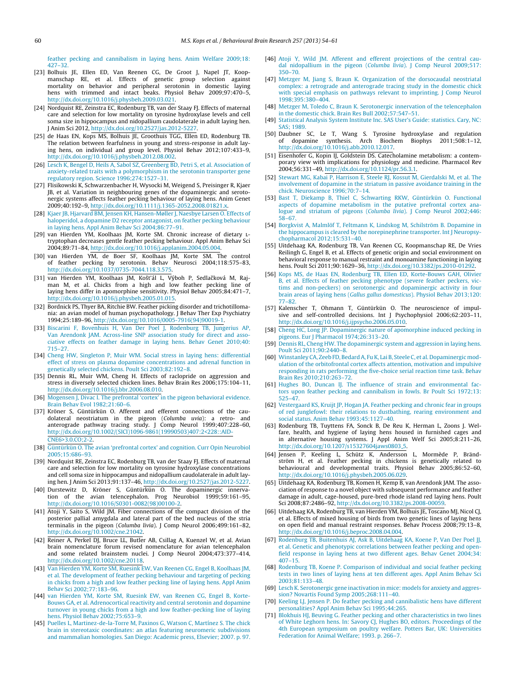<span id="page-6-0"></span>[feather](http://refhub.elsevier.com/S0166-4328(13)00585-8/sbref0110) [pecking](http://refhub.elsevier.com/S0166-4328(13)00585-8/sbref0110) [and](http://refhub.elsevier.com/S0166-4328(13)00585-8/sbref0110) [cannibalism](http://refhub.elsevier.com/S0166-4328(13)00585-8/sbref0110) [in](http://refhub.elsevier.com/S0166-4328(13)00585-8/sbref0110) [laying](http://refhub.elsevier.com/S0166-4328(13)00585-8/sbref0110) [hens.](http://refhub.elsevier.com/S0166-4328(13)00585-8/sbref0110) [Anim](http://refhub.elsevier.com/S0166-4328(13)00585-8/sbref0110) [Welfare](http://refhub.elsevier.com/S0166-4328(13)00585-8/sbref0110) [2009;18:](http://refhub.elsevier.com/S0166-4328(13)00585-8/sbref0110) [427](http://refhub.elsevier.com/S0166-4328(13)00585-8/sbref0110)–[32.](http://refhub.elsevier.com/S0166-4328(13)00585-8/sbref0110)

- [23] Bolhuis JE, Ellen ED, Van Reenen CG, De Groot J, Napel JT, Koopmanschap RE, et al. Effects of genetic group selection against mortality on behavior and peripheral serotonin in domestic laying hens with trimmed and intact beaks. Physiol Behav 2009;97:470–5, [http://dx.doi.org/10.1016/j.physbeh.2009.03.021](dx.doi.org/10.1016/j.physbeh.2009.03.021).
- [24] Nordquist RE, Zeinstra EC, Rodenburg TB, van der Staay FJ. Effects of maternal care and selection for low mortality on tyrosine hydroxylase levels and cell soma size in hippocampus and nidopallium caudolaterale in adult laying hen. J Anim Sci 2012, [http://dx.doi.org/10.2527/jas.2012-5227.](dx.doi.org/10.2527/jas.2012-5227)
- [25] de Haas EN, Kops MS, Bolhuis JE, Groothuis TGG, Ellen ED, Rodenburg TB. The relation between fearfulness in young and stress-response in adult laying hens, on individual and group level. Physiol Behav 2012;107:433–9, [http://dx.doi.org/10.1016/j.physbeh.2012.08.002](dx.doi.org/10.1016/j.physbeh.2012.08.002).
- [26] [Lesch](http://refhub.elsevier.com/S0166-4328(13)00585-8/sbref0130) [K,](http://refhub.elsevier.com/S0166-4328(13)00585-8/sbref0130) [Bengel](http://refhub.elsevier.com/S0166-4328(13)00585-8/sbref0130) [D,](http://refhub.elsevier.com/S0166-4328(13)00585-8/sbref0130) [Heils](http://refhub.elsevier.com/S0166-4328(13)00585-8/sbref0130) [A,](http://refhub.elsevier.com/S0166-4328(13)00585-8/sbref0130) [Sabol](http://refhub.elsevier.com/S0166-4328(13)00585-8/sbref0130) [SZ,](http://refhub.elsevier.com/S0166-4328(13)00585-8/sbref0130) [Greenberg](http://refhub.elsevier.com/S0166-4328(13)00585-8/sbref0130) [BD,](http://refhub.elsevier.com/S0166-4328(13)00585-8/sbref0130) [Petri](http://refhub.elsevier.com/S0166-4328(13)00585-8/sbref0130) [S,](http://refhub.elsevier.com/S0166-4328(13)00585-8/sbref0130) [et](http://refhub.elsevier.com/S0166-4328(13)00585-8/sbref0130) [al.](http://refhub.elsevier.com/S0166-4328(13)00585-8/sbref0130) [Association](http://refhub.elsevier.com/S0166-4328(13)00585-8/sbref0130) [of](http://refhub.elsevier.com/S0166-4328(13)00585-8/sbref0130) [anxiety-related](http://refhub.elsevier.com/S0166-4328(13)00585-8/sbref0130) [traits](http://refhub.elsevier.com/S0166-4328(13)00585-8/sbref0130) [with](http://refhub.elsevier.com/S0166-4328(13)00585-8/sbref0130) [a](http://refhub.elsevier.com/S0166-4328(13)00585-8/sbref0130) [polymorphism](http://refhub.elsevier.com/S0166-4328(13)00585-8/sbref0130) [in](http://refhub.elsevier.com/S0166-4328(13)00585-8/sbref0130) [the](http://refhub.elsevier.com/S0166-4328(13)00585-8/sbref0130) [serotonin](http://refhub.elsevier.com/S0166-4328(13)00585-8/sbref0130) [transporter](http://refhub.elsevier.com/S0166-4328(13)00585-8/sbref0130) [gene](http://refhub.elsevier.com/S0166-4328(13)00585-8/sbref0130) [regulatory](http://refhub.elsevier.com/S0166-4328(13)00585-8/sbref0130) [region.](http://refhub.elsevier.com/S0166-4328(13)00585-8/sbref0130) [Science](http://refhub.elsevier.com/S0166-4328(13)00585-8/sbref0130) [1996;274:1527–31.](http://refhub.elsevier.com/S0166-4328(13)00585-8/sbref0130)
- [27] Flisikowski K, Schwarzenbacher H, Wysocki M, Weigend S, Preisinger R, Kjaer JB, et al. Variation in neighbouring genes of the dopaminergic and serotonergic systems affects feather pecking behaviour of laying hens. Anim Genet 2009;40:192–9, [http://dx.doi.org/10.1111/j.1365-2052.2008.01821.x.](dx.doi.org/10.1111/j.1365-2052.2008.01821.x)
- [28] [Kjaer](http://refhub.elsevier.com/S0166-4328(13)00585-8/sbref0140) [JB,](http://refhub.elsevier.com/S0166-4328(13)00585-8/sbref0140) [Hjarvard](http://refhub.elsevier.com/S0166-4328(13)00585-8/sbref0140) [BM,](http://refhub.elsevier.com/S0166-4328(13)00585-8/sbref0140) [Jensen](http://refhub.elsevier.com/S0166-4328(13)00585-8/sbref0140) [KH,](http://refhub.elsevier.com/S0166-4328(13)00585-8/sbref0140) [Hansen-Møller](http://refhub.elsevier.com/S0166-4328(13)00585-8/sbref0140) [J,](http://refhub.elsevier.com/S0166-4328(13)00585-8/sbref0140) [Naesbye](http://refhub.elsevier.com/S0166-4328(13)00585-8/sbref0140) [Larsen](http://refhub.elsevier.com/S0166-4328(13)00585-8/sbref0140) [O.](http://refhub.elsevier.com/S0166-4328(13)00585-8/sbref0140) [Effects](http://refhub.elsevier.com/S0166-4328(13)00585-8/sbref0140) [of](http://refhub.elsevier.com/S0166-4328(13)00585-8/sbref0140) [haloperidol,](http://refhub.elsevier.com/S0166-4328(13)00585-8/sbref0140) [a](http://refhub.elsevier.com/S0166-4328(13)00585-8/sbref0140) [dopamine](http://refhub.elsevier.com/S0166-4328(13)00585-8/sbref0140) [D2](http://refhub.elsevier.com/S0166-4328(13)00585-8/sbref0140) [receptor](http://refhub.elsevier.com/S0166-4328(13)00585-8/sbref0140) [antagonist,](http://refhub.elsevier.com/S0166-4328(13)00585-8/sbref0140) [on](http://refhub.elsevier.com/S0166-4328(13)00585-8/sbref0140) [feather](http://refhub.elsevier.com/S0166-4328(13)00585-8/sbref0140) [pecking](http://refhub.elsevier.com/S0166-4328(13)00585-8/sbref0140) [behaviour](http://refhub.elsevier.com/S0166-4328(13)00585-8/sbref0140) [in](http://refhub.elsevier.com/S0166-4328(13)00585-8/sbref0140) [laying](http://refhub.elsevier.com/S0166-4328(13)00585-8/sbref0140) [hens.](http://refhub.elsevier.com/S0166-4328(13)00585-8/sbref0140) [Appl](http://refhub.elsevier.com/S0166-4328(13)00585-8/sbref0140) [Anim](http://refhub.elsevier.com/S0166-4328(13)00585-8/sbref0140) [Behav](http://refhub.elsevier.com/S0166-4328(13)00585-8/sbref0140) [Sci](http://refhub.elsevier.com/S0166-4328(13)00585-8/sbref0140) [2004;86:77](http://refhub.elsevier.com/S0166-4328(13)00585-8/sbref0140)–[91.](http://refhub.elsevier.com/S0166-4328(13)00585-8/sbref0140)
- [29] van Hierden YM, Koolhaas JM, Korte SM. Chronic increase of dietary <sup>l</sup>-tryptophan decreases gentle feather pecking behaviour. Appl Anim Behav Sci 2004;89:71–84, [http://dx.doi.org/10.1016/j.applanim.2004.05.004](dx.doi.org/10.1016/j.applanim.2004.05.004).
- [30] van Hierden YM, de Boer SF, Koolhaas JM, Korte SM. The control of feather pecking by serotonin. Behav Neurosci 2004;118:575–83, [http://dx.doi.org/10.1037/0735-7044.118.3.575.](dx.doi.org/10.1037/0735-7044.118.3.575)
- [31] van Hierden YM, Koolhaas JM, Košťál L, Výboh P, Sedlačková M, Rajman M, et al. Chicks from a high and low feather pecking line of laying hens differ in apomorphine sensitivity. Physiol Behav 2005;84:471–7, [http://dx.doi.org/10.1016/j.physbeh.2005.01.015](dx.doi.org/10.1016/j.physbeh.2005.01.015).
- [32] Bordnick PS, Thyer BA, Ritchie BW. Feather picking disorder and trichotillomania: an avian model of human psychopathology. J Behav Ther Exp Psychiatry 1994;25:189–96, [http://dx.doi.org/10.1016/0005-7916\(94\)90019-1](dx.doi.org/10.1016/0005-7916(94)90019-1).
- [33] [Biscarini](http://refhub.elsevier.com/S0166-4328(13)00585-8/sbref0165) [F,](http://refhub.elsevier.com/S0166-4328(13)00585-8/sbref0165) [Bovenhuis](http://refhub.elsevier.com/S0166-4328(13)00585-8/sbref0165) [H,](http://refhub.elsevier.com/S0166-4328(13)00585-8/sbref0165) [Van](http://refhub.elsevier.com/S0166-4328(13)00585-8/sbref0165) [Der](http://refhub.elsevier.com/S0166-4328(13)00585-8/sbref0165) [Poel](http://refhub.elsevier.com/S0166-4328(13)00585-8/sbref0165) [J,](http://refhub.elsevier.com/S0166-4328(13)00585-8/sbref0165) [Rodenburg](http://refhub.elsevier.com/S0166-4328(13)00585-8/sbref0165) [TB,](http://refhub.elsevier.com/S0166-4328(13)00585-8/sbref0165) [Jungerius](http://refhub.elsevier.com/S0166-4328(13)00585-8/sbref0165) [AP,](http://refhub.elsevier.com/S0166-4328(13)00585-8/sbref0165) [Van](http://refhub.elsevier.com/S0166-4328(13)00585-8/sbref0165) [Arendonk](http://refhub.elsevier.com/S0166-4328(13)00585-8/sbref0165) [JAM.](http://refhub.elsevier.com/S0166-4328(13)00585-8/sbref0165) [Across-line](http://refhub.elsevier.com/S0166-4328(13)00585-8/sbref0165) [SNP](http://refhub.elsevier.com/S0166-4328(13)00585-8/sbref0165) [association](http://refhub.elsevier.com/S0166-4328(13)00585-8/sbref0165) [study](http://refhub.elsevier.com/S0166-4328(13)00585-8/sbref0165) [for](http://refhub.elsevier.com/S0166-4328(13)00585-8/sbref0165) [direct](http://refhub.elsevier.com/S0166-4328(13)00585-8/sbref0165) [and](http://refhub.elsevier.com/S0166-4328(13)00585-8/sbref0165) [asso](http://refhub.elsevier.com/S0166-4328(13)00585-8/sbref0165)[ciative](http://refhub.elsevier.com/S0166-4328(13)00585-8/sbref0165) [effects](http://refhub.elsevier.com/S0166-4328(13)00585-8/sbref0165) [on](http://refhub.elsevier.com/S0166-4328(13)00585-8/sbref0165) [feather](http://refhub.elsevier.com/S0166-4328(13)00585-8/sbref0165) [damage](http://refhub.elsevier.com/S0166-4328(13)00585-8/sbref0165) [in](http://refhub.elsevier.com/S0166-4328(13)00585-8/sbref0165) [laying](http://refhub.elsevier.com/S0166-4328(13)00585-8/sbref0165) [hens.](http://refhub.elsevier.com/S0166-4328(13)00585-8/sbref0165) [Behav](http://refhub.elsevier.com/S0166-4328(13)00585-8/sbref0165) [Genet](http://refhub.elsevier.com/S0166-4328(13)00585-8/sbref0165) [2010;40:](http://refhub.elsevier.com/S0166-4328(13)00585-8/sbref0165) [715](http://refhub.elsevier.com/S0166-4328(13)00585-8/sbref0165)–[27.](http://refhub.elsevier.com/S0166-4328(13)00585-8/sbref0165)
- [34] [Cheng](http://refhub.elsevier.com/S0166-4328(13)00585-8/sbref0170) [HW,](http://refhub.elsevier.com/S0166-4328(13)00585-8/sbref0170) [Singleton](http://refhub.elsevier.com/S0166-4328(13)00585-8/sbref0170) [P,](http://refhub.elsevier.com/S0166-4328(13)00585-8/sbref0170) [Muir](http://refhub.elsevier.com/S0166-4328(13)00585-8/sbref0170) [WM.](http://refhub.elsevier.com/S0166-4328(13)00585-8/sbref0170) [Social](http://refhub.elsevier.com/S0166-4328(13)00585-8/sbref0170) [stress](http://refhub.elsevier.com/S0166-4328(13)00585-8/sbref0170) [in](http://refhub.elsevier.com/S0166-4328(13)00585-8/sbref0170) [laying](http://refhub.elsevier.com/S0166-4328(13)00585-8/sbref0170) [hens:](http://refhub.elsevier.com/S0166-4328(13)00585-8/sbref0170) [differential](http://refhub.elsevier.com/S0166-4328(13)00585-8/sbref0170) [effect](http://refhub.elsevier.com/S0166-4328(13)00585-8/sbref0170) [of](http://refhub.elsevier.com/S0166-4328(13)00585-8/sbref0170) [stress](http://refhub.elsevier.com/S0166-4328(13)00585-8/sbref0170) [on](http://refhub.elsevier.com/S0166-4328(13)00585-8/sbref0170) [plasma](http://refhub.elsevier.com/S0166-4328(13)00585-8/sbref0170) [dopamine](http://refhub.elsevier.com/S0166-4328(13)00585-8/sbref0170) [concentrations](http://refhub.elsevier.com/S0166-4328(13)00585-8/sbref0170) [and](http://refhub.elsevier.com/S0166-4328(13)00585-8/sbref0170) [adrenal](http://refhub.elsevier.com/S0166-4328(13)00585-8/sbref0170) [function](http://refhub.elsevier.com/S0166-4328(13)00585-8/sbref0170) [in](http://refhub.elsevier.com/S0166-4328(13)00585-8/sbref0170) [genetically](http://refhub.elsevier.com/S0166-4328(13)00585-8/sbref0170) [selected](http://refhub.elsevier.com/S0166-4328(13)00585-8/sbref0170) [chickens.](http://refhub.elsevier.com/S0166-4328(13)00585-8/sbref0170) [Poult](http://refhub.elsevier.com/S0166-4328(13)00585-8/sbref0170) [Sci](http://refhub.elsevier.com/S0166-4328(13)00585-8/sbref0170) [2003;82:192](http://refhub.elsevier.com/S0166-4328(13)00585-8/sbref0170)–[8.](http://refhub.elsevier.com/S0166-4328(13)00585-8/sbref0170)
- [35] Dennis RL, Muir WM, Cheng H. Effects of raclopride on aggression and stress in diversely selected chicken lines. Behav Brain Res 2006;175:104–11, [http://dx.doi.org/10.1016/j.bbr.2006.08.010.](dx.doi.org/10.1016/j.bbr.2006.08.010)
- [36] [Mogensen](http://refhub.elsevier.com/S0166-4328(13)00585-8/sbref0180) [J,](http://refhub.elsevier.com/S0166-4328(13)00585-8/sbref0180) [Divac](http://refhub.elsevier.com/S0166-4328(13)00585-8/sbref0180) [I.](http://refhub.elsevier.com/S0166-4328(13)00585-8/sbref0180) [The](http://refhub.elsevier.com/S0166-4328(13)00585-8/sbref0180) [prefrontal](http://refhub.elsevier.com/S0166-4328(13)00585-8/sbref0180) ['cortex'](http://refhub.elsevier.com/S0166-4328(13)00585-8/sbref0180) [in](http://refhub.elsevier.com/S0166-4328(13)00585-8/sbref0180) [the](http://refhub.elsevier.com/S0166-4328(13)00585-8/sbref0180) [pigeon](http://refhub.elsevier.com/S0166-4328(13)00585-8/sbref0180) [behavioral](http://refhub.elsevier.com/S0166-4328(13)00585-8/sbref0180) [evidence.](http://refhub.elsevier.com/S0166-4328(13)00585-8/sbref0180) [Brain](http://refhub.elsevier.com/S0166-4328(13)00585-8/sbref0180) [Behav](http://refhub.elsevier.com/S0166-4328(13)00585-8/sbref0180) [Evol](http://refhub.elsevier.com/S0166-4328(13)00585-8/sbref0180) [1982;21:60–6.](http://refhub.elsevier.com/S0166-4328(13)00585-8/sbref0180)
- [37] Kröner S, Güntürkün O. Afferent and efferent connections of the caudolateral neostriatum in the pigeon (Columba uvia): a retro- and anterograde pathway tracing study. J Comp Neurol 1999;407:228–60, [http://dx.doi.org/10.1002/\(SICI\)1096-9861\(19990503\)407:2<228::AID-](dx.doi.org/10.1002/(SICI)1096-9861(19990503)407:2<228::AID-CNE6>3.0.CO;2-2)[CNE6>3.0.CO;2-2](dx.doi.org/10.1002/(SICI)1096-9861(19990503)407:2<228::AID-CNE6>3.0.CO;2-2).
- [38] [Güntürkün](http://refhub.elsevier.com/S0166-4328(13)00585-8/sbref0190) [O.](http://refhub.elsevier.com/S0166-4328(13)00585-8/sbref0190) [The](http://refhub.elsevier.com/S0166-4328(13)00585-8/sbref0190) [avian](http://refhub.elsevier.com/S0166-4328(13)00585-8/sbref0190) ['prefrontal](http://refhub.elsevier.com/S0166-4328(13)00585-8/sbref0190) [cortex'](http://refhub.elsevier.com/S0166-4328(13)00585-8/sbref0190) [and](http://refhub.elsevier.com/S0166-4328(13)00585-8/sbref0190) [cognition.](http://refhub.elsevier.com/S0166-4328(13)00585-8/sbref0190) [Curr](http://refhub.elsevier.com/S0166-4328(13)00585-8/sbref0190) [Opin](http://refhub.elsevier.com/S0166-4328(13)00585-8/sbref0190) [Neurobiol](http://refhub.elsevier.com/S0166-4328(13)00585-8/sbref0190) [2005;15:686–93.](http://refhub.elsevier.com/S0166-4328(13)00585-8/sbref0190)
- [39] Nordquist RE, Zeinstra EC, Rodenburg TB, van der Staay FJ. Effects of maternal care and selection for low mortality on tyrosine hydroxylase concentrations and cell soma size in hippocampus and nidopallium caudolaterale in adult laying hen. J Anim Sci 2013;91:137–46, [http://dx.doi.org/10.2527/jas.2012-5227.](dx.doi.org/10.2527/jas.2012-5227)
- [40] Durstewitz D, Kröner S, Güntürkün O. The dopaminergic innervation of the avian telencephalon. Prog Neurobiol 1999;59:161–95, [http://dx.doi.org/10.1016/S0301-0082\(98\)00100-2.](dx.doi.org/10.1016/S0301-0082(98)00100-2)
- [41] Atoji Y, Saito S, Wild JM. Fiber connections of the compact division of the posterior pallial amygdala and lateral part of the bed nucleus of the stria terminalis in the pigeon (Columba livia). J Comp Neurol 2006;499:161–82, [http://dx.doi.org/10.1002/cne.21042](dx.doi.org/10.1002/cne.21042).
- [42] Reiner A, Perkel DJ, Bruce LL, Butler AB, Csillag A, Kuenzel W, et al. Avian brain nomenclature forum revised nomenclature for avian telencephalon and some related brainstem nuclei. J Comp Neurol 2004;473:377–414, [http://dx.doi.org/10.1002/cne.20118](dx.doi.org/10.1002/cne.20118).
- [43] [Van](http://refhub.elsevier.com/S0166-4328(13)00585-8/sbref0215) [Hierden](http://refhub.elsevier.com/S0166-4328(13)00585-8/sbref0215) [YM,](http://refhub.elsevier.com/S0166-4328(13)00585-8/sbref0215) [Korte](http://refhub.elsevier.com/S0166-4328(13)00585-8/sbref0215) [SM,](http://refhub.elsevier.com/S0166-4328(13)00585-8/sbref0215) [Ruesink](http://refhub.elsevier.com/S0166-4328(13)00585-8/sbref0215) [EW,](http://refhub.elsevier.com/S0166-4328(13)00585-8/sbref0215) [Van](http://refhub.elsevier.com/S0166-4328(13)00585-8/sbref0215) [Reenen](http://refhub.elsevier.com/S0166-4328(13)00585-8/sbref0215) [CG,](http://refhub.elsevier.com/S0166-4328(13)00585-8/sbref0215) [Engel](http://refhub.elsevier.com/S0166-4328(13)00585-8/sbref0215) [B,](http://refhub.elsevier.com/S0166-4328(13)00585-8/sbref0215) [Koolhaas](http://refhub.elsevier.com/S0166-4328(13)00585-8/sbref0215) [JM,](http://refhub.elsevier.com/S0166-4328(13)00585-8/sbref0215) [et](http://refhub.elsevier.com/S0166-4328(13)00585-8/sbref0215) [al.](http://refhub.elsevier.com/S0166-4328(13)00585-8/sbref0215) [The](http://refhub.elsevier.com/S0166-4328(13)00585-8/sbref0215) [development](http://refhub.elsevier.com/S0166-4328(13)00585-8/sbref0215) [of](http://refhub.elsevier.com/S0166-4328(13)00585-8/sbref0215) [feather](http://refhub.elsevier.com/S0166-4328(13)00585-8/sbref0215) [pecking](http://refhub.elsevier.com/S0166-4328(13)00585-8/sbref0215) [behaviour](http://refhub.elsevier.com/S0166-4328(13)00585-8/sbref0215) [and](http://refhub.elsevier.com/S0166-4328(13)00585-8/sbref0215) [targeting](http://refhub.elsevier.com/S0166-4328(13)00585-8/sbref0215) [of](http://refhub.elsevier.com/S0166-4328(13)00585-8/sbref0215) [pecking](http://refhub.elsevier.com/S0166-4328(13)00585-8/sbref0215) [in](http://refhub.elsevier.com/S0166-4328(13)00585-8/sbref0215) [chicks](http://refhub.elsevier.com/S0166-4328(13)00585-8/sbref0215) [from](http://refhub.elsevier.com/S0166-4328(13)00585-8/sbref0215) [a](http://refhub.elsevier.com/S0166-4328(13)00585-8/sbref0215) [high](http://refhub.elsevier.com/S0166-4328(13)00585-8/sbref0215) [and](http://refhub.elsevier.com/S0166-4328(13)00585-8/sbref0215) [low](http://refhub.elsevier.com/S0166-4328(13)00585-8/sbref0215) [feather](http://refhub.elsevier.com/S0166-4328(13)00585-8/sbref0215) [pecking](http://refhub.elsevier.com/S0166-4328(13)00585-8/sbref0215) [line](http://refhub.elsevier.com/S0166-4328(13)00585-8/sbref0215) [of](http://refhub.elsevier.com/S0166-4328(13)00585-8/sbref0215) [laying](http://refhub.elsevier.com/S0166-4328(13)00585-8/sbref0215) [hens.](http://refhub.elsevier.com/S0166-4328(13)00585-8/sbref0215) [Appl](http://refhub.elsevier.com/S0166-4328(13)00585-8/sbref0215) [Anim](http://refhub.elsevier.com/S0166-4328(13)00585-8/sbref0215) [Behav](http://refhub.elsevier.com/S0166-4328(13)00585-8/sbref0215) [Sci](http://refhub.elsevier.com/S0166-4328(13)00585-8/sbref0215) [2002;77:183–96.](http://refhub.elsevier.com/S0166-4328(13)00585-8/sbref0215)
- [44] [van](http://refhub.elsevier.com/S0166-4328(13)00585-8/sbref0220) [Hierden](http://refhub.elsevier.com/S0166-4328(13)00585-8/sbref0220) [YM,](http://refhub.elsevier.com/S0166-4328(13)00585-8/sbref0220) [Korte](http://refhub.elsevier.com/S0166-4328(13)00585-8/sbref0220) [SM,](http://refhub.elsevier.com/S0166-4328(13)00585-8/sbref0220) [Ruesink](http://refhub.elsevier.com/S0166-4328(13)00585-8/sbref0220) [EW,](http://refhub.elsevier.com/S0166-4328(13)00585-8/sbref0220) [van](http://refhub.elsevier.com/S0166-4328(13)00585-8/sbref0220) [Reenen](http://refhub.elsevier.com/S0166-4328(13)00585-8/sbref0220) [CG,](http://refhub.elsevier.com/S0166-4328(13)00585-8/sbref0220) [Engel](http://refhub.elsevier.com/S0166-4328(13)00585-8/sbref0220) [B,](http://refhub.elsevier.com/S0166-4328(13)00585-8/sbref0220) [Korte-](http://refhub.elsevier.com/S0166-4328(13)00585-8/sbref0220)[Bouws](http://refhub.elsevier.com/S0166-4328(13)00585-8/sbref0220) [GA,](http://refhub.elsevier.com/S0166-4328(13)00585-8/sbref0220) [et](http://refhub.elsevier.com/S0166-4328(13)00585-8/sbref0220) [al.](http://refhub.elsevier.com/S0166-4328(13)00585-8/sbref0220) [Adrenocortical](http://refhub.elsevier.com/S0166-4328(13)00585-8/sbref0220) [reactivity](http://refhub.elsevier.com/S0166-4328(13)00585-8/sbref0220) [and](http://refhub.elsevier.com/S0166-4328(13)00585-8/sbref0220) [central](http://refhub.elsevier.com/S0166-4328(13)00585-8/sbref0220) [serotonin](http://refhub.elsevier.com/S0166-4328(13)00585-8/sbref0220) [and](http://refhub.elsevier.com/S0166-4328(13)00585-8/sbref0220) [dopamine](http://refhub.elsevier.com/S0166-4328(13)00585-8/sbref0220) [turnover](http://refhub.elsevier.com/S0166-4328(13)00585-8/sbref0220) [in](http://refhub.elsevier.com/S0166-4328(13)00585-8/sbref0220) [young](http://refhub.elsevier.com/S0166-4328(13)00585-8/sbref0220) [chicks](http://refhub.elsevier.com/S0166-4328(13)00585-8/sbref0220) [from](http://refhub.elsevier.com/S0166-4328(13)00585-8/sbref0220) [a](http://refhub.elsevier.com/S0166-4328(13)00585-8/sbref0220) [high](http://refhub.elsevier.com/S0166-4328(13)00585-8/sbref0220) [and](http://refhub.elsevier.com/S0166-4328(13)00585-8/sbref0220) [low](http://refhub.elsevier.com/S0166-4328(13)00585-8/sbref0220) [feather-pecking](http://refhub.elsevier.com/S0166-4328(13)00585-8/sbref0220) [line](http://refhub.elsevier.com/S0166-4328(13)00585-8/sbref0220) [of](http://refhub.elsevier.com/S0166-4328(13)00585-8/sbref0220) [laying](http://refhub.elsevier.com/S0166-4328(13)00585-8/sbref0220) [hens.](http://refhub.elsevier.com/S0166-4328(13)00585-8/sbref0220) [Physiol](http://refhub.elsevier.com/S0166-4328(13)00585-8/sbref0220) [Behav](http://refhub.elsevier.com/S0166-4328(13)00585-8/sbref0220) [2002;75:653–9.](http://refhub.elsevier.com/S0166-4328(13)00585-8/sbref0220)
- [45] [Puelles](http://refhub.elsevier.com/S0166-4328(13)00585-8/sbref0225) [L,](http://refhub.elsevier.com/S0166-4328(13)00585-8/sbref0225) [Martinez-de-la-Torre](http://refhub.elsevier.com/S0166-4328(13)00585-8/sbref0225) [M,](http://refhub.elsevier.com/S0166-4328(13)00585-8/sbref0225) [Paxinos](http://refhub.elsevier.com/S0166-4328(13)00585-8/sbref0225) [G,](http://refhub.elsevier.com/S0166-4328(13)00585-8/sbref0225) [Watson](http://refhub.elsevier.com/S0166-4328(13)00585-8/sbref0225) [C,](http://refhub.elsevier.com/S0166-4328(13)00585-8/sbref0225) [Martínez](http://refhub.elsevier.com/S0166-4328(13)00585-8/sbref0225) [S.](http://refhub.elsevier.com/S0166-4328(13)00585-8/sbref0225) [The](http://refhub.elsevier.com/S0166-4328(13)00585-8/sbref0225) [chick](http://refhub.elsevier.com/S0166-4328(13)00585-8/sbref0225) [brain](http://refhub.elsevier.com/S0166-4328(13)00585-8/sbref0225) [in](http://refhub.elsevier.com/S0166-4328(13)00585-8/sbref0225) [stereotaxic](http://refhub.elsevier.com/S0166-4328(13)00585-8/sbref0225) [coordinates:](http://refhub.elsevier.com/S0166-4328(13)00585-8/sbref0225) [an](http://refhub.elsevier.com/S0166-4328(13)00585-8/sbref0225) [atlas](http://refhub.elsevier.com/S0166-4328(13)00585-8/sbref0225) [featuring](http://refhub.elsevier.com/S0166-4328(13)00585-8/sbref0225) [neuromeric](http://refhub.elsevier.com/S0166-4328(13)00585-8/sbref0225) [subdivisions](http://refhub.elsevier.com/S0166-4328(13)00585-8/sbref0225) [and](http://refhub.elsevier.com/S0166-4328(13)00585-8/sbref0225) [mammalian](http://refhub.elsevier.com/S0166-4328(13)00585-8/sbref0225) [homologies.](http://refhub.elsevier.com/S0166-4328(13)00585-8/sbref0225) [San](http://refhub.elsevier.com/S0166-4328(13)00585-8/sbref0225) [Diego:](http://refhub.elsevier.com/S0166-4328(13)00585-8/sbref0225) [Academic](http://refhub.elsevier.com/S0166-4328(13)00585-8/sbref0225) [press,](http://refhub.elsevier.com/S0166-4328(13)00585-8/sbref0225) [Elsevier;](http://refhub.elsevier.com/S0166-4328(13)00585-8/sbref0225) [2007.](http://refhub.elsevier.com/S0166-4328(13)00585-8/sbref0225) [p.](http://refhub.elsevier.com/S0166-4328(13)00585-8/sbref0225) [97.](http://refhub.elsevier.com/S0166-4328(13)00585-8/sbref0225)
- [46] [Atoji](http://refhub.elsevier.com/S0166-4328(13)00585-8/sbref0230) [Y,](http://refhub.elsevier.com/S0166-4328(13)00585-8/sbref0230) [Wild](http://refhub.elsevier.com/S0166-4328(13)00585-8/sbref0230) [JM.](http://refhub.elsevier.com/S0166-4328(13)00585-8/sbref0230) [Afferent](http://refhub.elsevier.com/S0166-4328(13)00585-8/sbref0230) [and](http://refhub.elsevier.com/S0166-4328(13)00585-8/sbref0230) [efferent](http://refhub.elsevier.com/S0166-4328(13)00585-8/sbref0230) [projections](http://refhub.elsevier.com/S0166-4328(13)00585-8/sbref0230) [of](http://refhub.elsevier.com/S0166-4328(13)00585-8/sbref0230) [the](http://refhub.elsevier.com/S0166-4328(13)00585-8/sbref0230) [central](http://refhub.elsevier.com/S0166-4328(13)00585-8/sbref0230) [cau](http://refhub.elsevier.com/S0166-4328(13)00585-8/sbref0230)[dal](http://refhub.elsevier.com/S0166-4328(13)00585-8/sbref0230) [nidopallium](http://refhub.elsevier.com/S0166-4328(13)00585-8/sbref0230) [in](http://refhub.elsevier.com/S0166-4328(13)00585-8/sbref0230) [the](http://refhub.elsevier.com/S0166-4328(13)00585-8/sbref0230) [pigeon](http://refhub.elsevier.com/S0166-4328(13)00585-8/sbref0230) [\(](http://refhub.elsevier.com/S0166-4328(13)00585-8/sbref0230)[Columba](http://refhub.elsevier.com/S0166-4328(13)00585-8/sbref0230) [livia](http://refhub.elsevier.com/S0166-4328(13)00585-8/sbref0230)[\).](http://refhub.elsevier.com/S0166-4328(13)00585-8/sbref0230) [J](http://refhub.elsevier.com/S0166-4328(13)00585-8/sbref0230) [Comp](http://refhub.elsevier.com/S0166-4328(13)00585-8/sbref0230) [Neurol](http://refhub.elsevier.com/S0166-4328(13)00585-8/sbref0230) [2009;517:](http://refhub.elsevier.com/S0166-4328(13)00585-8/sbref0230) [350–70.](http://refhub.elsevier.com/S0166-4328(13)00585-8/sbref0230)
- [47] [Metzger](http://refhub.elsevier.com/S0166-4328(13)00585-8/sbref0235) [M,](http://refhub.elsevier.com/S0166-4328(13)00585-8/sbref0235) [Jiang](http://refhub.elsevier.com/S0166-4328(13)00585-8/sbref0235) [S,](http://refhub.elsevier.com/S0166-4328(13)00585-8/sbref0235) [Braun](http://refhub.elsevier.com/S0166-4328(13)00585-8/sbref0235) [K.](http://refhub.elsevier.com/S0166-4328(13)00585-8/sbref0235) [Organization](http://refhub.elsevier.com/S0166-4328(13)00585-8/sbref0235) [of](http://refhub.elsevier.com/S0166-4328(13)00585-8/sbref0235) [the](http://refhub.elsevier.com/S0166-4328(13)00585-8/sbref0235) [dorsocaudal](http://refhub.elsevier.com/S0166-4328(13)00585-8/sbref0235) [neostriatal](http://refhub.elsevier.com/S0166-4328(13)00585-8/sbref0235) [complex:](http://refhub.elsevier.com/S0166-4328(13)00585-8/sbref0235) [a](http://refhub.elsevier.com/S0166-4328(13)00585-8/sbref0235) [retrograde](http://refhub.elsevier.com/S0166-4328(13)00585-8/sbref0235) [and](http://refhub.elsevier.com/S0166-4328(13)00585-8/sbref0235) [anterograde](http://refhub.elsevier.com/S0166-4328(13)00585-8/sbref0235) [tracing](http://refhub.elsevier.com/S0166-4328(13)00585-8/sbref0235) [study](http://refhub.elsevier.com/S0166-4328(13)00585-8/sbref0235) [in](http://refhub.elsevier.com/S0166-4328(13)00585-8/sbref0235) [the](http://refhub.elsevier.com/S0166-4328(13)00585-8/sbref0235) [domestic](http://refhub.elsevier.com/S0166-4328(13)00585-8/sbref0235) [chick](http://refhub.elsevier.com/S0166-4328(13)00585-8/sbref0235) [with](http://refhub.elsevier.com/S0166-4328(13)00585-8/sbref0235) [special](http://refhub.elsevier.com/S0166-4328(13)00585-8/sbref0235) [emphasis](http://refhub.elsevier.com/S0166-4328(13)00585-8/sbref0235) [on](http://refhub.elsevier.com/S0166-4328(13)00585-8/sbref0235) [pathways](http://refhub.elsevier.com/S0166-4328(13)00585-8/sbref0235) [relevant](http://refhub.elsevier.com/S0166-4328(13)00585-8/sbref0235) [to](http://refhub.elsevier.com/S0166-4328(13)00585-8/sbref0235) [imprinting.](http://refhub.elsevier.com/S0166-4328(13)00585-8/sbref0235) [J](http://refhub.elsevier.com/S0166-4328(13)00585-8/sbref0235) [Comp](http://refhub.elsevier.com/S0166-4328(13)00585-8/sbref0235) [Neurol](http://refhub.elsevier.com/S0166-4328(13)00585-8/sbref0235) [1998;395:380–404.](http://refhub.elsevier.com/S0166-4328(13)00585-8/sbref0235)
- [48] [Metzger](http://refhub.elsevier.com/S0166-4328(13)00585-8/sbref0240) [M,](http://refhub.elsevier.com/S0166-4328(13)00585-8/sbref0240) [Toledo](http://refhub.elsevier.com/S0166-4328(13)00585-8/sbref0240) [C,](http://refhub.elsevier.com/S0166-4328(13)00585-8/sbref0240) [Braun](http://refhub.elsevier.com/S0166-4328(13)00585-8/sbref0240) [K.](http://refhub.elsevier.com/S0166-4328(13)00585-8/sbref0240) [Serotonergic](http://refhub.elsevier.com/S0166-4328(13)00585-8/sbref0240) [innervation](http://refhub.elsevier.com/S0166-4328(13)00585-8/sbref0240) [of](http://refhub.elsevier.com/S0166-4328(13)00585-8/sbref0240) [the](http://refhub.elsevier.com/S0166-4328(13)00585-8/sbref0240) [telencephalon](http://refhub.elsevier.com/S0166-4328(13)00585-8/sbref0240) [in](http://refhub.elsevier.com/S0166-4328(13)00585-8/sbref0240) [the](http://refhub.elsevier.com/S0166-4328(13)00585-8/sbref0240) [domestic](http://refhub.elsevier.com/S0166-4328(13)00585-8/sbref0240) [chick.](http://refhub.elsevier.com/S0166-4328(13)00585-8/sbref0240) [Brain](http://refhub.elsevier.com/S0166-4328(13)00585-8/sbref0240) [Res](http://refhub.elsevier.com/S0166-4328(13)00585-8/sbref0240) [Bull](http://refhub.elsevier.com/S0166-4328(13)00585-8/sbref0240) [2002;57:547](http://refhub.elsevier.com/S0166-4328(13)00585-8/sbref0240)–[51.](http://refhub.elsevier.com/S0166-4328(13)00585-8/sbref0240)
- [49] [Statistical](http://refhub.elsevier.com/S0166-4328(13)00585-8/sbref0245) [Analysis](http://refhub.elsevier.com/S0166-4328(13)00585-8/sbref0245) [System](http://refhub.elsevier.com/S0166-4328(13)00585-8/sbref0245) [Institute](http://refhub.elsevier.com/S0166-4328(13)00585-8/sbref0245) [Inc.](http://refhub.elsevier.com/S0166-4328(13)00585-8/sbref0245) [SAS](http://refhub.elsevier.com/S0166-4328(13)00585-8/sbref0245) [User's](http://refhub.elsevier.com/S0166-4328(13)00585-8/sbref0245) [Guide:](http://refhub.elsevier.com/S0166-4328(13)00585-8/sbref0245) [statistics.](http://refhub.elsevier.com/S0166-4328(13)00585-8/sbref0245) [Cary,](http://refhub.elsevier.com/S0166-4328(13)00585-8/sbref0245) [NC:](http://refhub.elsevier.com/S0166-4328(13)00585-8/sbref0245) [SAS;](http://refhub.elsevier.com/S0166-4328(13)00585-8/sbref0245) [1989.](http://refhub.elsevier.com/S0166-4328(13)00585-8/sbref0245)
- [50] Daubner SC, Le T, Wang S. Tyrosine hydroxylase and regulation of dopamine synthesis. Arch Biochem Biophys 2011;508:1–12, [http://dx.doi.org/10.1016/j.abb.2010.12.017](dx.doi.org/10.1016/j.abb.2010.12.017).
- [51] Eisenhofer G, Kopin II, Goldstein DS. Catecholamine metabolism: a contemporary view with implications for physiology and medicine. Pharmacol Rev 2004;56:331–49, [http://dx.doi.org/10.1124/pr.56.3.1.](dx.doi.org/10.1124/pr.56.3.1)
- [52] [Stewart](http://refhub.elsevier.com/S0166-4328(13)00585-8/sbref0260) [MG,](http://refhub.elsevier.com/S0166-4328(13)00585-8/sbref0260) [Kabai](http://refhub.elsevier.com/S0166-4328(13)00585-8/sbref0260) [P,](http://refhub.elsevier.com/S0166-4328(13)00585-8/sbref0260) [Harrison](http://refhub.elsevier.com/S0166-4328(13)00585-8/sbref0260) [E,](http://refhub.elsevier.com/S0166-4328(13)00585-8/sbref0260) [Steele](http://refhub.elsevier.com/S0166-4328(13)00585-8/sbref0260) [RJ,](http://refhub.elsevier.com/S0166-4328(13)00585-8/sbref0260) [Kossut](http://refhub.elsevier.com/S0166-4328(13)00585-8/sbref0260) [M,](http://refhub.elsevier.com/S0166-4328(13)00585-8/sbref0260) [Gierdalski](http://refhub.elsevier.com/S0166-4328(13)00585-8/sbref0260) [M,](http://refhub.elsevier.com/S0166-4328(13)00585-8/sbref0260) [et](http://refhub.elsevier.com/S0166-4328(13)00585-8/sbref0260) [al.](http://refhub.elsevier.com/S0166-4328(13)00585-8/sbref0260) [The](http://refhub.elsevier.com/S0166-4328(13)00585-8/sbref0260) [involvement](http://refhub.elsevier.com/S0166-4328(13)00585-8/sbref0260) [of](http://refhub.elsevier.com/S0166-4328(13)00585-8/sbref0260) [dopamine](http://refhub.elsevier.com/S0166-4328(13)00585-8/sbref0260) [in](http://refhub.elsevier.com/S0166-4328(13)00585-8/sbref0260) [the](http://refhub.elsevier.com/S0166-4328(13)00585-8/sbref0260) [striatum](http://refhub.elsevier.com/S0166-4328(13)00585-8/sbref0260) [in](http://refhub.elsevier.com/S0166-4328(13)00585-8/sbref0260) [passive](http://refhub.elsevier.com/S0166-4328(13)00585-8/sbref0260) [avoidance](http://refhub.elsevier.com/S0166-4328(13)00585-8/sbref0260) [training](http://refhub.elsevier.com/S0166-4328(13)00585-8/sbref0260) [in](http://refhub.elsevier.com/S0166-4328(13)00585-8/sbref0260) [the](http://refhub.elsevier.com/S0166-4328(13)00585-8/sbref0260) [chick.](http://refhub.elsevier.com/S0166-4328(13)00585-8/sbref0260) [Neuroscience](http://refhub.elsevier.com/S0166-4328(13)00585-8/sbref0260) [1996;70:7](http://refhub.elsevier.com/S0166-4328(13)00585-8/sbref0260)–[14.](http://refhub.elsevier.com/S0166-4328(13)00585-8/sbref0260)
- [53] [Bast](http://refhub.elsevier.com/S0166-4328(13)00585-8/sbref0265) [T,](http://refhub.elsevier.com/S0166-4328(13)00585-8/sbref0265) [Diekamp](http://refhub.elsevier.com/S0166-4328(13)00585-8/sbref0265) [B,](http://refhub.elsevier.com/S0166-4328(13)00585-8/sbref0265) [Thiel](http://refhub.elsevier.com/S0166-4328(13)00585-8/sbref0265) [C,](http://refhub.elsevier.com/S0166-4328(13)00585-8/sbref0265) [Schwarting](http://refhub.elsevier.com/S0166-4328(13)00585-8/sbref0265) [RKW,](http://refhub.elsevier.com/S0166-4328(13)00585-8/sbref0265) [Güntürkün](http://refhub.elsevier.com/S0166-4328(13)00585-8/sbref0265) [O.](http://refhub.elsevier.com/S0166-4328(13)00585-8/sbref0265) [Functional](http://refhub.elsevier.com/S0166-4328(13)00585-8/sbref0265) [aspects](http://refhub.elsevier.com/S0166-4328(13)00585-8/sbref0265) [of](http://refhub.elsevier.com/S0166-4328(13)00585-8/sbref0265) [dopamine](http://refhub.elsevier.com/S0166-4328(13)00585-8/sbref0265) [metabolism](http://refhub.elsevier.com/S0166-4328(13)00585-8/sbref0265) [in](http://refhub.elsevier.com/S0166-4328(13)00585-8/sbref0265) [the](http://refhub.elsevier.com/S0166-4328(13)00585-8/sbref0265) [putative](http://refhub.elsevier.com/S0166-4328(13)00585-8/sbref0265) [prefrontal](http://refhub.elsevier.com/S0166-4328(13)00585-8/sbref0265) [cortex](http://refhub.elsevier.com/S0166-4328(13)00585-8/sbref0265) [ana](http://refhub.elsevier.com/S0166-4328(13)00585-8/sbref0265)[logue](http://refhub.elsevier.com/S0166-4328(13)00585-8/sbref0265) [and](http://refhub.elsevier.com/S0166-4328(13)00585-8/sbref0265) [striatum](http://refhub.elsevier.com/S0166-4328(13)00585-8/sbref0265) [of](http://refhub.elsevier.com/S0166-4328(13)00585-8/sbref0265) [pigeons](http://refhub.elsevier.com/S0166-4328(13)00585-8/sbref0265) [\(](http://refhub.elsevier.com/S0166-4328(13)00585-8/sbref0265)[Columba](http://refhub.elsevier.com/S0166-4328(13)00585-8/sbref0265) [livia](http://refhub.elsevier.com/S0166-4328(13)00585-8/sbref0265)[\).](http://refhub.elsevier.com/S0166-4328(13)00585-8/sbref0265) [J](http://refhub.elsevier.com/S0166-4328(13)00585-8/sbref0265) [Comp](http://refhub.elsevier.com/S0166-4328(13)00585-8/sbref0265) [Neurol](http://refhub.elsevier.com/S0166-4328(13)00585-8/sbref0265) [2002;446:](http://refhub.elsevier.com/S0166-4328(13)00585-8/sbref0265) [58–67.](http://refhub.elsevier.com/S0166-4328(13)00585-8/sbref0265)
- [54] [Borgkvist](http://refhub.elsevier.com/S0166-4328(13)00585-8/sbref0270) [A,](http://refhub.elsevier.com/S0166-4328(13)00585-8/sbref0270) [Malmlöf](http://refhub.elsevier.com/S0166-4328(13)00585-8/sbref0270) [T,](http://refhub.elsevier.com/S0166-4328(13)00585-8/sbref0270) [Feltmann](http://refhub.elsevier.com/S0166-4328(13)00585-8/sbref0270) [K,](http://refhub.elsevier.com/S0166-4328(13)00585-8/sbref0270) [Lindskog](http://refhub.elsevier.com/S0166-4328(13)00585-8/sbref0270) [M,](http://refhub.elsevier.com/S0166-4328(13)00585-8/sbref0270) [Schilström](http://refhub.elsevier.com/S0166-4328(13)00585-8/sbref0270) [B.](http://refhub.elsevier.com/S0166-4328(13)00585-8/sbref0270) [Dopamine](http://refhub.elsevier.com/S0166-4328(13)00585-8/sbref0270) [in](http://refhub.elsevier.com/S0166-4328(13)00585-8/sbref0270) [the](http://refhub.elsevier.com/S0166-4328(13)00585-8/sbref0270) [hippocampus](http://refhub.elsevier.com/S0166-4328(13)00585-8/sbref0270) [is](http://refhub.elsevier.com/S0166-4328(13)00585-8/sbref0270) [cleared](http://refhub.elsevier.com/S0166-4328(13)00585-8/sbref0270) [by](http://refhub.elsevier.com/S0166-4328(13)00585-8/sbref0270) [the](http://refhub.elsevier.com/S0166-4328(13)00585-8/sbref0270) [norepinephrine](http://refhub.elsevier.com/S0166-4328(13)00585-8/sbref0270) [transporter.](http://refhub.elsevier.com/S0166-4328(13)00585-8/sbref0270) [Int](http://refhub.elsevier.com/S0166-4328(13)00585-8/sbref0270) [J](http://refhub.elsevier.com/S0166-4328(13)00585-8/sbref0270) [Neuropsy](http://refhub.elsevier.com/S0166-4328(13)00585-8/sbref0270)[chopharmacol](http://refhub.elsevier.com/S0166-4328(13)00585-8/sbref0270) [2012;15:531](http://refhub.elsevier.com/S0166-4328(13)00585-8/sbref0270)–[40.](http://refhub.elsevier.com/S0166-4328(13)00585-8/sbref0270)
- [55] Uitdehaag KA, Rodenburg TB, Van Reenen CG, Koopmanschap RE, De Vries Reilingh G, Engel B, et al. Effects of genetic origin and social environment on behavioral response to manual restraint and monoamine functioning in laying hens. Poult Sci 2011;90:1629–36, [http://dx.doi.org/10.3382/ps.2010-01292](dx.doi.org/10.3382/ps.2010-01292).
- [56] [Kops](http://refhub.elsevier.com/S0166-4328(13)00585-8/sbref0280) [MS,](http://refhub.elsevier.com/S0166-4328(13)00585-8/sbref0280) [de](http://refhub.elsevier.com/S0166-4328(13)00585-8/sbref0280) [Haas](http://refhub.elsevier.com/S0166-4328(13)00585-8/sbref0280) [EN,](http://refhub.elsevier.com/S0166-4328(13)00585-8/sbref0280) [Rodenburg](http://refhub.elsevier.com/S0166-4328(13)00585-8/sbref0280) [TB,](http://refhub.elsevier.com/S0166-4328(13)00585-8/sbref0280) [Ellen](http://refhub.elsevier.com/S0166-4328(13)00585-8/sbref0280) [ED,](http://refhub.elsevier.com/S0166-4328(13)00585-8/sbref0280) [Korte-Bouws](http://refhub.elsevier.com/S0166-4328(13)00585-8/sbref0280) [GAH,](http://refhub.elsevier.com/S0166-4328(13)00585-8/sbref0280) [Olivier](http://refhub.elsevier.com/S0166-4328(13)00585-8/sbref0280) [B,](http://refhub.elsevier.com/S0166-4328(13)00585-8/sbref0280) [et](http://refhub.elsevier.com/S0166-4328(13)00585-8/sbref0280) [al.](http://refhub.elsevier.com/S0166-4328(13)00585-8/sbref0280) [Effects](http://refhub.elsevier.com/S0166-4328(13)00585-8/sbref0280) [of](http://refhub.elsevier.com/S0166-4328(13)00585-8/sbref0280) [feather](http://refhub.elsevier.com/S0166-4328(13)00585-8/sbref0280) [pecking](http://refhub.elsevier.com/S0166-4328(13)00585-8/sbref0280) [phenotype](http://refhub.elsevier.com/S0166-4328(13)00585-8/sbref0280) [\(severe](http://refhub.elsevier.com/S0166-4328(13)00585-8/sbref0280) [feather](http://refhub.elsevier.com/S0166-4328(13)00585-8/sbref0280) [peckers,](http://refhub.elsevier.com/S0166-4328(13)00585-8/sbref0280) [vic](http://refhub.elsevier.com/S0166-4328(13)00585-8/sbref0280)[tims](http://refhub.elsevier.com/S0166-4328(13)00585-8/sbref0280) [and](http://refhub.elsevier.com/S0166-4328(13)00585-8/sbref0280) [non-peckers\)](http://refhub.elsevier.com/S0166-4328(13)00585-8/sbref0280) [on](http://refhub.elsevier.com/S0166-4328(13)00585-8/sbref0280) [serotonergic](http://refhub.elsevier.com/S0166-4328(13)00585-8/sbref0280) [and](http://refhub.elsevier.com/S0166-4328(13)00585-8/sbref0280) [dopaminergic](http://refhub.elsevier.com/S0166-4328(13)00585-8/sbref0280) [activity](http://refhub.elsevier.com/S0166-4328(13)00585-8/sbref0280) [in](http://refhub.elsevier.com/S0166-4328(13)00585-8/sbref0280) [four](http://refhub.elsevier.com/S0166-4328(13)00585-8/sbref0280) [brain](http://refhub.elsevier.com/S0166-4328(13)00585-8/sbref0280) [areas](http://refhub.elsevier.com/S0166-4328(13)00585-8/sbref0280) [of](http://refhub.elsevier.com/S0166-4328(13)00585-8/sbref0280) [laying](http://refhub.elsevier.com/S0166-4328(13)00585-8/sbref0280) [hens](http://refhub.elsevier.com/S0166-4328(13)00585-8/sbref0280) [\(](http://refhub.elsevier.com/S0166-4328(13)00585-8/sbref0280)[Gallus](http://refhub.elsevier.com/S0166-4328(13)00585-8/sbref0280) [gallus](http://refhub.elsevier.com/S0166-4328(13)00585-8/sbref0280) [domesticus](http://refhub.elsevier.com/S0166-4328(13)00585-8/sbref0280)[\).](http://refhub.elsevier.com/S0166-4328(13)00585-8/sbref0280) [Physiol](http://refhub.elsevier.com/S0166-4328(13)00585-8/sbref0280) [Behav](http://refhub.elsevier.com/S0166-4328(13)00585-8/sbref0280) [2013;120:](http://refhub.elsevier.com/S0166-4328(13)00585-8/sbref0280) [77–82.](http://refhub.elsevier.com/S0166-4328(13)00585-8/sbref0280)
- [57] Kalenscher T, Ohmann T, Güntürkün O. The neuroscience of impulsive and self-controlled decisions. Int J Psychophysiol 2006;62:203–11, [http://dx.doi.org/10.1016/j.ijpsycho.2006.05.010](dx.doi.org/10.1016/j.ijpsycho.2006.05.010).
- [58] [Cheng](http://refhub.elsevier.com/S0166-4328(13)00585-8/sbref0290) [HC,](http://refhub.elsevier.com/S0166-4328(13)00585-8/sbref0290) [Long](http://refhub.elsevier.com/S0166-4328(13)00585-8/sbref0290) [JP.](http://refhub.elsevier.com/S0166-4328(13)00585-8/sbref0290) [Dopaminergic](http://refhub.elsevier.com/S0166-4328(13)00585-8/sbref0290) [nature](http://refhub.elsevier.com/S0166-4328(13)00585-8/sbref0290) [of](http://refhub.elsevier.com/S0166-4328(13)00585-8/sbref0290) [apomorphine](http://refhub.elsevier.com/S0166-4328(13)00585-8/sbref0290) [induced](http://refhub.elsevier.com/S0166-4328(13)00585-8/sbref0290) [pecking](http://refhub.elsevier.com/S0166-4328(13)00585-8/sbref0290) [in](http://refhub.elsevier.com/S0166-4328(13)00585-8/sbref0290) [pigeons.](http://refhub.elsevier.com/S0166-4328(13)00585-8/sbref0290) [Eur](http://refhub.elsevier.com/S0166-4328(13)00585-8/sbref0290) [J](http://refhub.elsevier.com/S0166-4328(13)00585-8/sbref0290) [Pharmacol](http://refhub.elsevier.com/S0166-4328(13)00585-8/sbref0290) [1974;26:313–20.](http://refhub.elsevier.com/S0166-4328(13)00585-8/sbref0290)
- [59] [Dennis](http://refhub.elsevier.com/S0166-4328(13)00585-8/sbref0295) [RL,](http://refhub.elsevier.com/S0166-4328(13)00585-8/sbref0295) [Cheng](http://refhub.elsevier.com/S0166-4328(13)00585-8/sbref0295) [HW.](http://refhub.elsevier.com/S0166-4328(13)00585-8/sbref0295) [The](http://refhub.elsevier.com/S0166-4328(13)00585-8/sbref0295) [dopaminergic](http://refhub.elsevier.com/S0166-4328(13)00585-8/sbref0295) [system](http://refhub.elsevier.com/S0166-4328(13)00585-8/sbref0295) [and](http://refhub.elsevier.com/S0166-4328(13)00585-8/sbref0295) [aggression](http://refhub.elsevier.com/S0166-4328(13)00585-8/sbref0295) [in](http://refhub.elsevier.com/S0166-4328(13)00585-8/sbref0295) [laying](http://refhub.elsevier.com/S0166-4328(13)00585-8/sbref0295) [hens.](http://refhub.elsevier.com/S0166-4328(13)00585-8/sbref0295) [Poult](http://refhub.elsevier.com/S0166-4328(13)00585-8/sbref0295) [Sci](http://refhub.elsevier.com/S0166-4328(13)00585-8/sbref0295) [2011;90:2440–8.](http://refhub.elsevier.com/S0166-4328(13)00585-8/sbref0295)
- [60] [Winstanley](http://refhub.elsevier.com/S0166-4328(13)00585-8/sbref0300) [CA,](http://refhub.elsevier.com/S0166-4328(13)00585-8/sbref0300) [Zeeb](http://refhub.elsevier.com/S0166-4328(13)00585-8/sbref0300) [FD,](http://refhub.elsevier.com/S0166-4328(13)00585-8/sbref0300) [BedardA,](http://refhub.elsevier.com/S0166-4328(13)00585-8/sbref0300) [FuK,](http://refhub.elsevier.com/S0166-4328(13)00585-8/sbref0300) [Lai](http://refhub.elsevier.com/S0166-4328(13)00585-8/sbref0300) [B,](http://refhub.elsevier.com/S0166-4328(13)00585-8/sbref0300) [Steele](http://refhub.elsevier.com/S0166-4328(13)00585-8/sbref0300) [C,](http://refhub.elsevier.com/S0166-4328(13)00585-8/sbref0300) [et](http://refhub.elsevier.com/S0166-4328(13)00585-8/sbref0300) [al.](http://refhub.elsevier.com/S0166-4328(13)00585-8/sbref0300) [Dopaminergic](http://refhub.elsevier.com/S0166-4328(13)00585-8/sbref0300) [mod](http://refhub.elsevier.com/S0166-4328(13)00585-8/sbref0300)[ulation](http://refhub.elsevier.com/S0166-4328(13)00585-8/sbref0300) [of](http://refhub.elsevier.com/S0166-4328(13)00585-8/sbref0300) [the](http://refhub.elsevier.com/S0166-4328(13)00585-8/sbref0300) [orbitofrontal](http://refhub.elsevier.com/S0166-4328(13)00585-8/sbref0300) [cortex](http://refhub.elsevier.com/S0166-4328(13)00585-8/sbref0300) [affects](http://refhub.elsevier.com/S0166-4328(13)00585-8/sbref0300) [attention,](http://refhub.elsevier.com/S0166-4328(13)00585-8/sbref0300) [motivation](http://refhub.elsevier.com/S0166-4328(13)00585-8/sbref0300) [and](http://refhub.elsevier.com/S0166-4328(13)00585-8/sbref0300) [impulsive](http://refhub.elsevier.com/S0166-4328(13)00585-8/sbref0300) [responding](http://refhub.elsevier.com/S0166-4328(13)00585-8/sbref0300) [in](http://refhub.elsevier.com/S0166-4328(13)00585-8/sbref0300) [rats](http://refhub.elsevier.com/S0166-4328(13)00585-8/sbref0300) [performing](http://refhub.elsevier.com/S0166-4328(13)00585-8/sbref0300) [the](http://refhub.elsevier.com/S0166-4328(13)00585-8/sbref0300) [five-choice](http://refhub.elsevier.com/S0166-4328(13)00585-8/sbref0300) [serial](http://refhub.elsevier.com/S0166-4328(13)00585-8/sbref0300) [reaction](http://refhub.elsevier.com/S0166-4328(13)00585-8/sbref0300) [time](http://refhub.elsevier.com/S0166-4328(13)00585-8/sbref0300) [task.](http://refhub.elsevier.com/S0166-4328(13)00585-8/sbref0300) [Behav](http://refhub.elsevier.com/S0166-4328(13)00585-8/sbref0300) [Brain](http://refhub.elsevier.com/S0166-4328(13)00585-8/sbref0300) [Res](http://refhub.elsevier.com/S0166-4328(13)00585-8/sbref0300) [2010;210:263](http://refhub.elsevier.com/S0166-4328(13)00585-8/sbref0300)–[72.](http://refhub.elsevier.com/S0166-4328(13)00585-8/sbref0300)
- [61] [Hughes](http://refhub.elsevier.com/S0166-4328(13)00585-8/sbref0305) [BO,](http://refhub.elsevier.com/S0166-4328(13)00585-8/sbref0305) [Duncan](http://refhub.elsevier.com/S0166-4328(13)00585-8/sbref0305) [IJ.](http://refhub.elsevier.com/S0166-4328(13)00585-8/sbref0305) [The](http://refhub.elsevier.com/S0166-4328(13)00585-8/sbref0305) [influence](http://refhub.elsevier.com/S0166-4328(13)00585-8/sbref0305) [of](http://refhub.elsevier.com/S0166-4328(13)00585-8/sbref0305) [strain](http://refhub.elsevier.com/S0166-4328(13)00585-8/sbref0305) [and](http://refhub.elsevier.com/S0166-4328(13)00585-8/sbref0305) [environmental](http://refhub.elsevier.com/S0166-4328(13)00585-8/sbref0305) [fac](http://refhub.elsevier.com/S0166-4328(13)00585-8/sbref0305)[tors](http://refhub.elsevier.com/S0166-4328(13)00585-8/sbref0305) [upon](http://refhub.elsevier.com/S0166-4328(13)00585-8/sbref0305) [feather](http://refhub.elsevier.com/S0166-4328(13)00585-8/sbref0305) [pecking](http://refhub.elsevier.com/S0166-4328(13)00585-8/sbref0305) [and](http://refhub.elsevier.com/S0166-4328(13)00585-8/sbref0305) [cannibalism](http://refhub.elsevier.com/S0166-4328(13)00585-8/sbref0305) [in](http://refhub.elsevier.com/S0166-4328(13)00585-8/sbref0305) [fowls.](http://refhub.elsevier.com/S0166-4328(13)00585-8/sbref0305) [Br](http://refhub.elsevier.com/S0166-4328(13)00585-8/sbref0305) [Poult](http://refhub.elsevier.com/S0166-4328(13)00585-8/sbref0305) [Sci](http://refhub.elsevier.com/S0166-4328(13)00585-8/sbref0305) [1972;13:](http://refhub.elsevier.com/S0166-4328(13)00585-8/sbref0305) [525](http://refhub.elsevier.com/S0166-4328(13)00585-8/sbref0305)–[47.](http://refhub.elsevier.com/S0166-4328(13)00585-8/sbref0305)
- [62] [Vestergaard](http://refhub.elsevier.com/S0166-4328(13)00585-8/sbref0310) [KS,](http://refhub.elsevier.com/S0166-4328(13)00585-8/sbref0310) [Kruijt](http://refhub.elsevier.com/S0166-4328(13)00585-8/sbref0310) [JP,](http://refhub.elsevier.com/S0166-4328(13)00585-8/sbref0310) [Hogan](http://refhub.elsevier.com/S0166-4328(13)00585-8/sbref0310) [JA.](http://refhub.elsevier.com/S0166-4328(13)00585-8/sbref0310) [Feather](http://refhub.elsevier.com/S0166-4328(13)00585-8/sbref0310) [pecking](http://refhub.elsevier.com/S0166-4328(13)00585-8/sbref0310) [and](http://refhub.elsevier.com/S0166-4328(13)00585-8/sbref0310) [chronic](http://refhub.elsevier.com/S0166-4328(13)00585-8/sbref0310) [fear](http://refhub.elsevier.com/S0166-4328(13)00585-8/sbref0310) [in](http://refhub.elsevier.com/S0166-4328(13)00585-8/sbref0310) [groups](http://refhub.elsevier.com/S0166-4328(13)00585-8/sbref0310) [of](http://refhub.elsevier.com/S0166-4328(13)00585-8/sbref0310) [red](http://refhub.elsevier.com/S0166-4328(13)00585-8/sbref0310) [junglefowl:](http://refhub.elsevier.com/S0166-4328(13)00585-8/sbref0310) [their](http://refhub.elsevier.com/S0166-4328(13)00585-8/sbref0310) [relations](http://refhub.elsevier.com/S0166-4328(13)00585-8/sbref0310) [to](http://refhub.elsevier.com/S0166-4328(13)00585-8/sbref0310) [dustbathing,](http://refhub.elsevier.com/S0166-4328(13)00585-8/sbref0310) [rearing](http://refhub.elsevier.com/S0166-4328(13)00585-8/sbref0310) [environment](http://refhub.elsevier.com/S0166-4328(13)00585-8/sbref0310) [and](http://refhub.elsevier.com/S0166-4328(13)00585-8/sbref0310) [social](http://refhub.elsevier.com/S0166-4328(13)00585-8/sbref0310) [status.](http://refhub.elsevier.com/S0166-4328(13)00585-8/sbref0310) [Anim](http://refhub.elsevier.com/S0166-4328(13)00585-8/sbref0310) [Behav](http://refhub.elsevier.com/S0166-4328(13)00585-8/sbref0310) [1993;45:1127–40.](http://refhub.elsevier.com/S0166-4328(13)00585-8/sbref0310)
- [63] Rodenburg TB, Tuyttens FA, Sonck B, De Reu K, Herman L, Zoons J. Welfare, health, and hygiene of laying hens housed in furnished cages and in alternative housing systems. J Appl Anim Welf Sci 2005;8:211–26, [http://dx.doi.org/10.1207/s15327604jaws0803](dx.doi.org/10.1207/s15327604jaws0803_5) 5.
- [64] Jensen P, Keeling L, Schütz K, Andersson L, Mormède P, Brändström H, et al. Feather pecking in chickens is genetically related to behavioural and developmental traits. Physiol Behav 2005;86:52–60, [http://dx.doi.org/10.1016/j.physbeh.2005.06.029.](dx.doi.org/10.1016/j.physbeh.2005.06.029)
- [65] Uitdehaag KA, Rodenburg TB, Komen H, Kemp B, van Arendonk JAM. The association of response to a novel object with subsequent performance and feather damage in adult, cage-housed, pure-bred rhode island red laying hens. Poult Sci 2008;87:2486–92, [http://dx.doi.org/10.3382/ps.2008-00059.](dx.doi.org/10.3382/ps.2008-00059)
- [66] Uitdehaag KA, Rodenburg TB, van Hierden YM, Bolhuis JE, Toscano MJ, Nicol CJ, et al. Effects of mixed housing of birds from two genetic lines of laying hens on open field and manual restraint responses. Behav Process 2008;79:13–8, [http://dx.doi.org/10.1016/j.beproc.2008.04.004.](dx.doi.org/10.1016/j.beproc.2008.04.004)
- [67] [Rodenburg](http://refhub.elsevier.com/S0166-4328(13)00585-8/sbref0335) [TB,](http://refhub.elsevier.com/S0166-4328(13)00585-8/sbref0335) [Buitenhuis](http://refhub.elsevier.com/S0166-4328(13)00585-8/sbref0335) [AJ,](http://refhub.elsevier.com/S0166-4328(13)00585-8/sbref0335) [Ask](http://refhub.elsevier.com/S0166-4328(13)00585-8/sbref0335) [B,](http://refhub.elsevier.com/S0166-4328(13)00585-8/sbref0335) [Uitdehaag](http://refhub.elsevier.com/S0166-4328(13)00585-8/sbref0335) [KA,](http://refhub.elsevier.com/S0166-4328(13)00585-8/sbref0335) [Koene](http://refhub.elsevier.com/S0166-4328(13)00585-8/sbref0335) [P,](http://refhub.elsevier.com/S0166-4328(13)00585-8/sbref0335) [Van](http://refhub.elsevier.com/S0166-4328(13)00585-8/sbref0335) [Der](http://refhub.elsevier.com/S0166-4328(13)00585-8/sbref0335) [Poel](http://refhub.elsevier.com/S0166-4328(13)00585-8/sbref0335) [JJ,](http://refhub.elsevier.com/S0166-4328(13)00585-8/sbref0335) [et](http://refhub.elsevier.com/S0166-4328(13)00585-8/sbref0335) [al.](http://refhub.elsevier.com/S0166-4328(13)00585-8/sbref0335) [Genetic](http://refhub.elsevier.com/S0166-4328(13)00585-8/sbref0335) [and](http://refhub.elsevier.com/S0166-4328(13)00585-8/sbref0335) [phenotypic](http://refhub.elsevier.com/S0166-4328(13)00585-8/sbref0335) [correlations](http://refhub.elsevier.com/S0166-4328(13)00585-8/sbref0335) [between](http://refhub.elsevier.com/S0166-4328(13)00585-8/sbref0335) [feather](http://refhub.elsevier.com/S0166-4328(13)00585-8/sbref0335) [pecking](http://refhub.elsevier.com/S0166-4328(13)00585-8/sbref0335) [and](http://refhub.elsevier.com/S0166-4328(13)00585-8/sbref0335) [open](http://refhub.elsevier.com/S0166-4328(13)00585-8/sbref0335)[field](http://refhub.elsevier.com/S0166-4328(13)00585-8/sbref0335) [response](http://refhub.elsevier.com/S0166-4328(13)00585-8/sbref0335) [in](http://refhub.elsevier.com/S0166-4328(13)00585-8/sbref0335) [laying](http://refhub.elsevier.com/S0166-4328(13)00585-8/sbref0335) [hens](http://refhub.elsevier.com/S0166-4328(13)00585-8/sbref0335) [at](http://refhub.elsevier.com/S0166-4328(13)00585-8/sbref0335) [two](http://refhub.elsevier.com/S0166-4328(13)00585-8/sbref0335) [different](http://refhub.elsevier.com/S0166-4328(13)00585-8/sbref0335) [ages.](http://refhub.elsevier.com/S0166-4328(13)00585-8/sbref0335) [Behav](http://refhub.elsevier.com/S0166-4328(13)00585-8/sbref0335) [Genet](http://refhub.elsevier.com/S0166-4328(13)00585-8/sbref0335) [2004;34:](http://refhub.elsevier.com/S0166-4328(13)00585-8/sbref0335) [407–15.](http://refhub.elsevier.com/S0166-4328(13)00585-8/sbref0335)
- [68] [Rodenburg](http://refhub.elsevier.com/S0166-4328(13)00585-8/sbref0340) [TB,](http://refhub.elsevier.com/S0166-4328(13)00585-8/sbref0340) [Koene](http://refhub.elsevier.com/S0166-4328(13)00585-8/sbref0340) [P.](http://refhub.elsevier.com/S0166-4328(13)00585-8/sbref0340) [Comparison](http://refhub.elsevier.com/S0166-4328(13)00585-8/sbref0340) [of](http://refhub.elsevier.com/S0166-4328(13)00585-8/sbref0340) [individual](http://refhub.elsevier.com/S0166-4328(13)00585-8/sbref0340) [and](http://refhub.elsevier.com/S0166-4328(13)00585-8/sbref0340) [social](http://refhub.elsevier.com/S0166-4328(13)00585-8/sbref0340) [feather](http://refhub.elsevier.com/S0166-4328(13)00585-8/sbref0340) [pecking](http://refhub.elsevier.com/S0166-4328(13)00585-8/sbref0340) [tests](http://refhub.elsevier.com/S0166-4328(13)00585-8/sbref0340) [in](http://refhub.elsevier.com/S0166-4328(13)00585-8/sbref0340) [two](http://refhub.elsevier.com/S0166-4328(13)00585-8/sbref0340) [lines](http://refhub.elsevier.com/S0166-4328(13)00585-8/sbref0340) [of](http://refhub.elsevier.com/S0166-4328(13)00585-8/sbref0340) [laying](http://refhub.elsevier.com/S0166-4328(13)00585-8/sbref0340) [hens](http://refhub.elsevier.com/S0166-4328(13)00585-8/sbref0340) [at](http://refhub.elsevier.com/S0166-4328(13)00585-8/sbref0340) [ten](http://refhub.elsevier.com/S0166-4328(13)00585-8/sbref0340) [different](http://refhub.elsevier.com/S0166-4328(13)00585-8/sbref0340) [ages.](http://refhub.elsevier.com/S0166-4328(13)00585-8/sbref0340) [Appl](http://refhub.elsevier.com/S0166-4328(13)00585-8/sbref0340) [Anim](http://refhub.elsevier.com/S0166-4328(13)00585-8/sbref0340) [Behav](http://refhub.elsevier.com/S0166-4328(13)00585-8/sbref0340) [Sci](http://refhub.elsevier.com/S0166-4328(13)00585-8/sbref0340) [2003;81:133](http://refhub.elsevier.com/S0166-4328(13)00585-8/sbref0340)–[48.](http://refhub.elsevier.com/S0166-4328(13)00585-8/sbref0340)
- [69] [Lesch](http://refhub.elsevier.com/S0166-4328(13)00585-8/sbref0345) [K.](http://refhub.elsevier.com/S0166-4328(13)00585-8/sbref0345) [Serotonergic](http://refhub.elsevier.com/S0166-4328(13)00585-8/sbref0345) [gene](http://refhub.elsevier.com/S0166-4328(13)00585-8/sbref0345) [inactivation](http://refhub.elsevier.com/S0166-4328(13)00585-8/sbref0345) [in](http://refhub.elsevier.com/S0166-4328(13)00585-8/sbref0345) [mice:](http://refhub.elsevier.com/S0166-4328(13)00585-8/sbref0345) [models](http://refhub.elsevier.com/S0166-4328(13)00585-8/sbref0345) [for](http://refhub.elsevier.com/S0166-4328(13)00585-8/sbref0345) [anxiety](http://refhub.elsevier.com/S0166-4328(13)00585-8/sbref0345) [and](http://refhub.elsevier.com/S0166-4328(13)00585-8/sbref0345) [aggres](http://refhub.elsevier.com/S0166-4328(13)00585-8/sbref0345)[sion?](http://refhub.elsevier.com/S0166-4328(13)00585-8/sbref0345) [Novartis](http://refhub.elsevier.com/S0166-4328(13)00585-8/sbref0345) [Found](http://refhub.elsevier.com/S0166-4328(13)00585-8/sbref0345) [Symp](http://refhub.elsevier.com/S0166-4328(13)00585-8/sbref0345) [2005;268:111–40.](http://refhub.elsevier.com/S0166-4328(13)00585-8/sbref0345)
- [70] [Keeling](http://refhub.elsevier.com/S0166-4328(13)00585-8/sbref0350) [LJ,](http://refhub.elsevier.com/S0166-4328(13)00585-8/sbref0350) [Jensen](http://refhub.elsevier.com/S0166-4328(13)00585-8/sbref0350) [P.](http://refhub.elsevier.com/S0166-4328(13)00585-8/sbref0350) [Do](http://refhub.elsevier.com/S0166-4328(13)00585-8/sbref0350) [feather](http://refhub.elsevier.com/S0166-4328(13)00585-8/sbref0350) [pecking](http://refhub.elsevier.com/S0166-4328(13)00585-8/sbref0350) [and](http://refhub.elsevier.com/S0166-4328(13)00585-8/sbref0350) [cannibalistic](http://refhub.elsevier.com/S0166-4328(13)00585-8/sbref0350) [hens](http://refhub.elsevier.com/S0166-4328(13)00585-8/sbref0350) [have](http://refhub.elsevier.com/S0166-4328(13)00585-8/sbref0350) [different](http://refhub.elsevier.com/S0166-4328(13)00585-8/sbref0350) [personalities?](http://refhub.elsevier.com/S0166-4328(13)00585-8/sbref0350) [Appl](http://refhub.elsevier.com/S0166-4328(13)00585-8/sbref0350) [Anim](http://refhub.elsevier.com/S0166-4328(13)00585-8/sbref0350) [Behav](http://refhub.elsevier.com/S0166-4328(13)00585-8/sbref0350) [Sci](http://refhub.elsevier.com/S0166-4328(13)00585-8/sbref0350) [1995;44:265.](http://refhub.elsevier.com/S0166-4328(13)00585-8/sbref0350)
- [71] [Blokhuis](http://refhub.elsevier.com/S0166-4328(13)00585-8/sbref0355) [HJ,](http://refhub.elsevier.com/S0166-4328(13)00585-8/sbref0355) [Beuving](http://refhub.elsevier.com/S0166-4328(13)00585-8/sbref0355) [G.](http://refhub.elsevier.com/S0166-4328(13)00585-8/sbref0355) [Feather](http://refhub.elsevier.com/S0166-4328(13)00585-8/sbref0355) [pecking](http://refhub.elsevier.com/S0166-4328(13)00585-8/sbref0355) [and](http://refhub.elsevier.com/S0166-4328(13)00585-8/sbref0355) [other](http://refhub.elsevier.com/S0166-4328(13)00585-8/sbref0355) [characteristics](http://refhub.elsevier.com/S0166-4328(13)00585-8/sbref0355) [in](http://refhub.elsevier.com/S0166-4328(13)00585-8/sbref0355) [two](http://refhub.elsevier.com/S0166-4328(13)00585-8/sbref0355) [lines](http://refhub.elsevier.com/S0166-4328(13)00585-8/sbref0355) [of](http://refhub.elsevier.com/S0166-4328(13)00585-8/sbref0355) [White](http://refhub.elsevier.com/S0166-4328(13)00585-8/sbref0355) [Leghorn](http://refhub.elsevier.com/S0166-4328(13)00585-8/sbref0355) [hens.](http://refhub.elsevier.com/S0166-4328(13)00585-8/sbref0355) [In:](http://refhub.elsevier.com/S0166-4328(13)00585-8/sbref0355) [Savory](http://refhub.elsevier.com/S0166-4328(13)00585-8/sbref0355) [CJ,](http://refhub.elsevier.com/S0166-4328(13)00585-8/sbref0355) [Hughes](http://refhub.elsevier.com/S0166-4328(13)00585-8/sbref0355) [BO,](http://refhub.elsevier.com/S0166-4328(13)00585-8/sbref0355) [editors.](http://refhub.elsevier.com/S0166-4328(13)00585-8/sbref0355) [Proceedings](http://refhub.elsevier.com/S0166-4328(13)00585-8/sbref0355) [of](http://refhub.elsevier.com/S0166-4328(13)00585-8/sbref0355) [the](http://refhub.elsevier.com/S0166-4328(13)00585-8/sbref0355) [4th](http://refhub.elsevier.com/S0166-4328(13)00585-8/sbref0355) [European](http://refhub.elsevier.com/S0166-4328(13)00585-8/sbref0355) [symposium](http://refhub.elsevier.com/S0166-4328(13)00585-8/sbref0355) [on](http://refhub.elsevier.com/S0166-4328(13)00585-8/sbref0355) [poultry](http://refhub.elsevier.com/S0166-4328(13)00585-8/sbref0355) [welfare.](http://refhub.elsevier.com/S0166-4328(13)00585-8/sbref0355) [Potters](http://refhub.elsevier.com/S0166-4328(13)00585-8/sbref0355) [Bar,](http://refhub.elsevier.com/S0166-4328(13)00585-8/sbref0355) [UK:](http://refhub.elsevier.com/S0166-4328(13)00585-8/sbref0355) [Universities](http://refhub.elsevier.com/S0166-4328(13)00585-8/sbref0355) [Federation](http://refhub.elsevier.com/S0166-4328(13)00585-8/sbref0355) [for](http://refhub.elsevier.com/S0166-4328(13)00585-8/sbref0355) [Animal](http://refhub.elsevier.com/S0166-4328(13)00585-8/sbref0355) [Welfare;](http://refhub.elsevier.com/S0166-4328(13)00585-8/sbref0355) [1993.](http://refhub.elsevier.com/S0166-4328(13)00585-8/sbref0355) [p.](http://refhub.elsevier.com/S0166-4328(13)00585-8/sbref0355) [266–7.](http://refhub.elsevier.com/S0166-4328(13)00585-8/sbref0355)